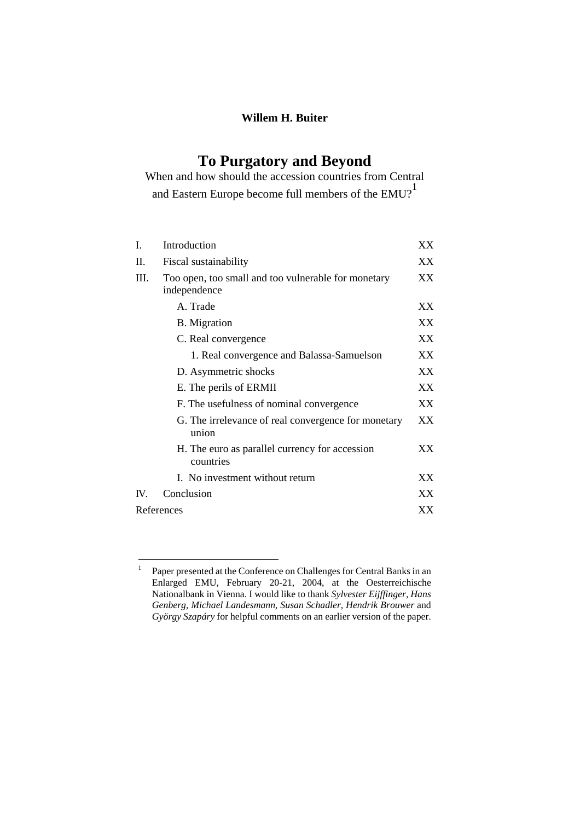# **Willem H. Buiter**

# **To Purgatory and Beyond**

When and how should the accession countries from Central and Eastern Europe become full members of the  $\mathrm{EMU?}^1$  $\mathrm{EMU?}^1$ 

| I.   | Introduction                                                        | XX. |
|------|---------------------------------------------------------------------|-----|
| П.   | Fiscal sustainability                                               | XX. |
| III. | Too open, too small and too vulnerable for monetary<br>independence | XX  |
|      | A. Trade                                                            | XX. |
|      | <b>B.</b> Migration                                                 | XX. |
|      | C. Real convergence                                                 | XX  |
|      | 1. Real convergence and Balassa-Samuelson                           | XX  |
|      | D. Asymmetric shocks                                                | XX. |
|      | E. The perils of ERMII                                              | XX  |
|      | F. The usefulness of nominal convergence                            | XX. |
|      | G. The irrelevance of real convergence for monetary<br>union        | XX  |
|      | H. The euro as parallel currency for accession<br>countries         | XX  |
|      | I. No investment without return                                     | XX  |
| IV.  | Conclusion                                                          | XX  |
|      | References                                                          | XX. |
|      |                                                                     |     |

<span id="page-0-0"></span> $\frac{1}{1}$  Paper presented at the Conference on Challenges for Central Banks in an Enlarged EMU, February 20-21, 2004, at the Oesterreichische Nationalbank in Vienna. I would like to thank *Sylvester Eijffinger, Hans Genberg, Michael Landesmann, Susan Schadler, Hendrik Brouwer* and *György Szapáry* for helpful comments on an earlier version of the paper.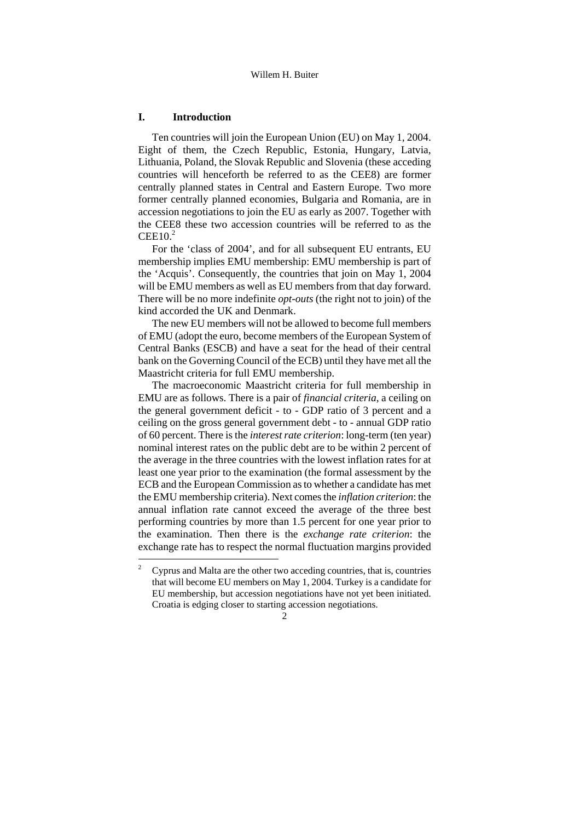## **I. Introduction**

Ten countries will join the European Union (EU) on May 1, 2004. Eight of them, the Czech Republic, Estonia, Hungary, Latvia, Lithuania, Poland, the Slovak Republic and Slovenia (these acceding countries will henceforth be referred to as the CEE8) are former centrally planned states in Central and Eastern Europe. Two more former centrally planned economies, Bulgaria and Romania, are in accession negotiations to join the EU as early as 2007. Together with the CEE8 these two accession countries will be referred to as the  $CEE10.<sup>2</sup>$  $CEE10.<sup>2</sup>$  $CEE10.<sup>2</sup>$ 

For the 'class of 2004', and for all subsequent EU entrants, EU membership implies EMU membership: EMU membership is part of the 'Acquis'. Consequently, the countries that join on May 1, 2004 will be EMU members as well as EU members from that day forward. There will be no more indefinite *opt-outs* (the right not to join) of the kind accorded the UK and Denmark.

The new EU members will not be allowed to become full members of EMU (adopt the euro, become members of the European System of Central Banks (ESCB) and have a seat for the head of their central bank on the Governing Council of the ECB) until they have met all the Maastricht criteria for full EMU membership.

The macroeconomic Maastricht criteria for full membership in EMU are as follows. There is a pair of *financial criteria*, a ceiling on the general government deficit - to - GDP ratio of 3 percent and a ceiling on the gross general government debt - to - annual GDP ratio of 60 percent. There is the *interest rate criterion*: long-term (ten year) nominal interest rates on the public debt are to be within 2 percent of the average in the three countries with the lowest inflation rates for at least one year prior to the examination (the formal assessment by the ECB and the European Commission as to whether a candidate has met the EMU membership criteria). Next comes the *inflation criterion*: the annual inflation rate cannot exceed the average of the three best performing countries by more than 1.5 percent for one year prior to the examination. Then there is the *exchange rate criterion*: the exchange rate has to respect the normal fluctuation margins provided

<span id="page-1-0"></span><sup>2</sup> Cyprus and Malta are the other two acceding countries, that is, countries that will become EU members on May 1, 2004. Turkey is a candidate for EU membership, but accession negotiations have not yet been initiated. Croatia is edging closer to starting accession negotiations.

<sup>2</sup>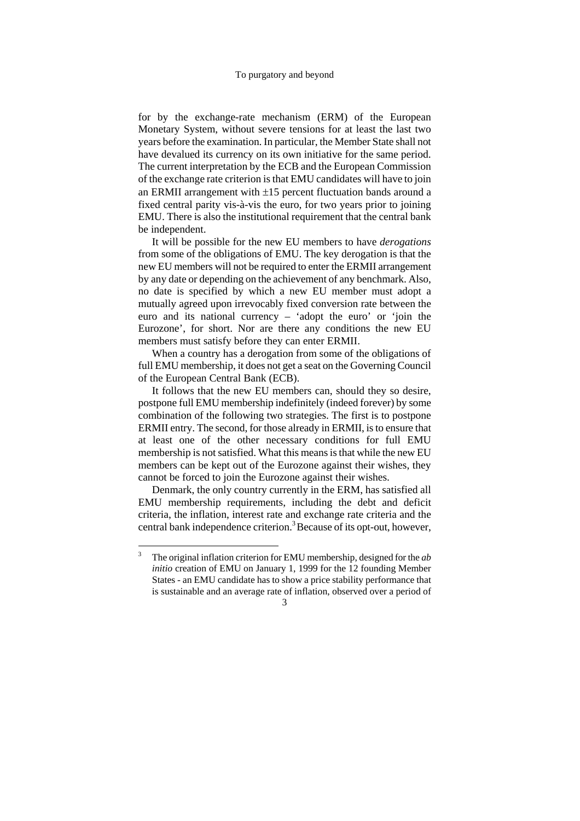for by the exchange-rate mechanism (ERM) of the European Monetary System, without severe tensions for at least the last two years before the examination. In particular, the Member State shall not have devalued its currency on its own initiative for the same period. The current interpretation by the ECB and the European Commission of the exchange rate criterion is that EMU candidates will have to join an ERMII arrangement with  $\pm 15$  percent fluctuation bands around a fixed central parity vis-à-vis the euro, for two years prior to joining EMU. There is also the institutional requirement that the central bank be independent.

It will be possible for the new EU members to have *derogations* from some of the obligations of EMU. The key derogation is that the new EU members will not be required to enter the ERMII arrangement by any date or depending on the achievement of any benchmark. Also, no date is specified by which a new EU member must adopt a mutually agreed upon irrevocably fixed conversion rate between the euro and its national currency – 'adopt the euro' or 'join the Eurozone', for short. Nor are there any conditions the new EU members must satisfy before they can enter ERMII.

When a country has a derogation from some of the obligations of full EMU membership, it does not get a seat on the Governing Council of the European Central Bank (ECB).

It follows that the new EU members can, should they so desire, postpone full EMU membership indefinitely (indeed forever) by some combination of the following two strategies. The first is to postpone ERMII entry. The second, for those already in ERMII, is to ensure that at least one of the other necessary conditions for full EMU membership is not satisfied. What this means is that while the new EU members can be kept out of the Eurozone against their wishes, they cannot be forced to join the Eurozone against their wishes.

Denmark, the only country currently in the ERM, has satisfied all EMU membership requirements, including the debt and deficit criteria, the inflation, interest rate and exchange rate criteria and the central bank independence criterion.<sup>[3](#page-2-0)</sup> Because of its opt-out, however,

<span id="page-2-0"></span><sup>3</sup> The original inflation criterion for EMU membership, designed for the *ab initio* creation of EMU on January 1, 1999 for the 12 founding Member States - an EMU candidate has to show a price stability performance that is sustainable and an average rate of inflation, observed over a period of

<sup>3</sup>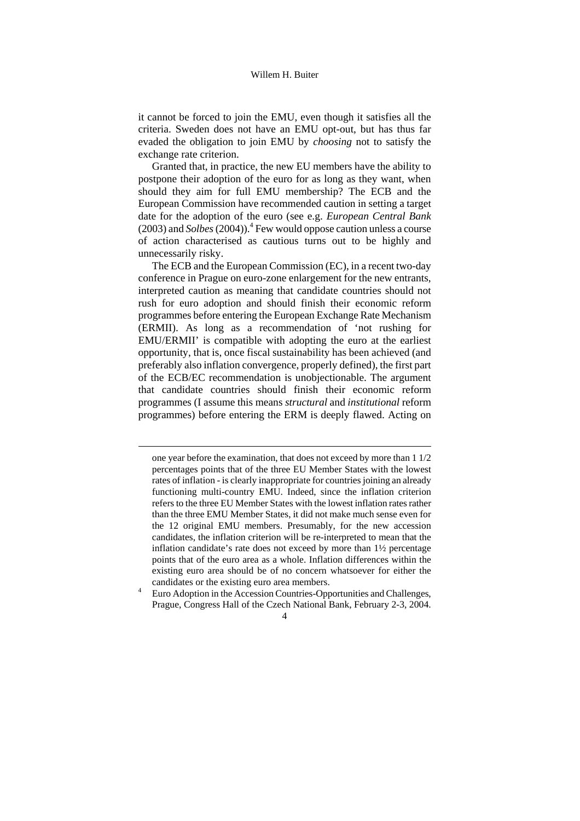it cannot be forced to join the EMU, even though it satisfies all the criteria. Sweden does not have an EMU opt-out, but has thus far evaded the obligation to join EMU by *choosing* not to satisfy the exchange rate criterion.

Granted that, in practice, the new EU members have the ability to postpone their adoption of the euro for as long as they want, when should they aim for full EMU membership? The ECB and the European Commission have recommended caution in setting a target date for the adoption of the euro (see e.g. *European Central Bank* (2003) and *Solbes* (2004)).4  [F](#page-3-0)ew would oppose caution unless a course of action characterised as cautious turns out to be highly and unnecessarily risky.

The ECB and the European Commission (EC), in a recent two-day conference in Prague on euro-zone enlargement for the new entrants, interpreted caution as meaning that candidate countries should not rush for euro adoption and should finish their economic reform programmes before entering the European Exchange Rate Mechanism (ERMII). As long as a recommendation of 'not rushing for EMU/ERMII' is compatible with adopting the euro at the earliest opportunity, that is, once fiscal sustainability has been achieved (and preferably also inflation convergence, properly defined), the first part of the ECB/EC recommendation is unobjectionable. The argument that candidate countries should finish their economic reform programmes (I assume this means *structural* and *institutional* reform programmes) before entering the ERM is deeply flawed. Acting on

one year before the examination, that does not exceed by more than 1 1/2 percentages points that of the three EU Member States with the lowest rates of inflation - is clearly inappropriate for countries joining an already functioning multi-country EMU. Indeed, since the inflation criterion refers to the three EU Member States with the lowest inflation rates rather than the three EMU Member States, it did not make much sense even for the 12 original EMU members. Presumably, for the new accession candidates, the inflation criterion will be re-interpreted to mean that the inflation candidate's rate does not exceed by more than 1½ percentage points that of the euro area as a whole. Inflation differences within the existing euro area should be of no concern whatsoever for either the

<span id="page-3-0"></span>candidates or the existing euro area members. 4 [Euro Adoption in the Accession Countries-Opportunities and Challenges,](http://www.cnb.cz/en/vystoupeni_imf_2_2_2004.php) Prague, Congress Hall of the Czech National Bank, February 2-3, 2004.

<sup>4</sup>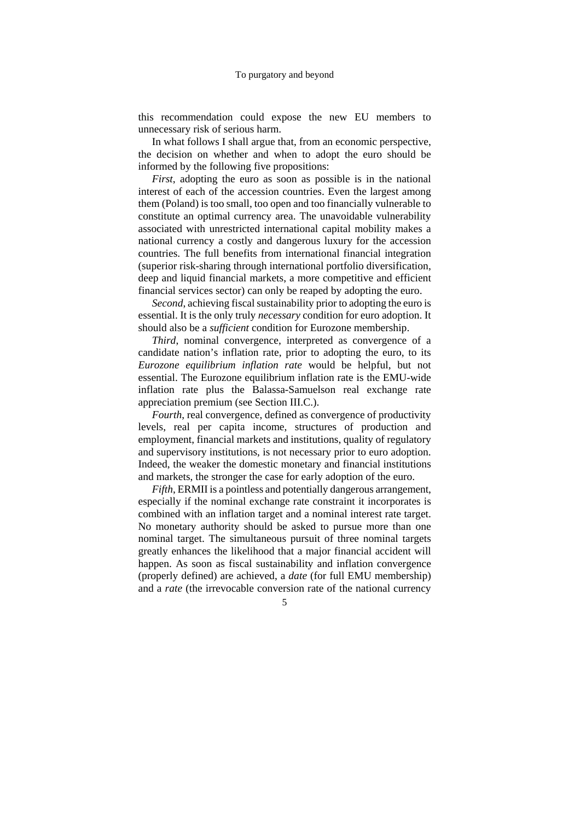this recommendation could expose the new EU members to unnecessary risk of serious harm.

In what follows I shall argue that, from an economic perspective, the decision on whether and when to adopt the euro should be informed by the following five propositions:

*First*, adopting the euro as soon as possible is in the national interest of each of the accession countries. Even the largest among them (Poland) is too small, too open and too financially vulnerable to constitute an optimal currency area. The unavoidable vulnerability associated with unrestricted international capital mobility makes a national currency a costly and dangerous luxury for the accession countries. The full benefits from international financial integration (superior risk-sharing through international portfolio diversification, deep and liquid financial markets, a more competitive and efficient financial services sector) can only be reaped by adopting the euro.

*Second*, achieving fiscal sustainability prior to adopting the euro is essential. It is the only truly *necessary* condition for euro adoption. It should also be a *sufficient* condition for Eurozone membership.

*Third*, nominal convergence, interpreted as convergence of a candidate nation's inflation rate, prior to adopting the euro, to its *Eurozone equilibrium inflation rate* would be helpful, but not essential. The Eurozone equilibrium inflation rate is the EMU-wide inflation rate plus the Balassa-Samuelson real exchange rate appreciation premium (see Section III.C.).

*Fourth*, real convergence, defined as convergence of productivity levels, real per capita income, structures of production and employment, financial markets and institutions, quality of regulatory and supervisory institutions, is not necessary prior to euro adoption. Indeed, the weaker the domestic monetary and financial institutions and markets, the stronger the case for early adoption of the euro.

*Fifth*, ERMII is a pointless and potentially dangerous arrangement, especially if the nominal exchange rate constraint it incorporates is combined with an inflation target and a nominal interest rate target. No monetary authority should be asked to pursue more than one nominal target. The simultaneous pursuit of three nominal targets greatly enhances the likelihood that a major financial accident will happen. As soon as fiscal sustainability and inflation convergence (properly defined) are achieved, a *date* (for full EMU membership) and a *rate* (the irrevocable conversion rate of the national currency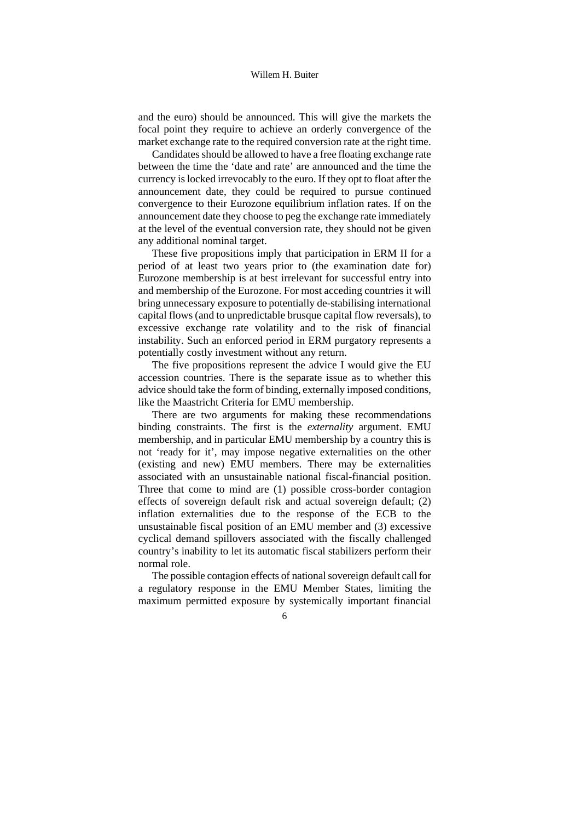and the euro) should be announced. This will give the markets the focal point they require to achieve an orderly convergence of the market exchange rate to the required conversion rate at the right time.

Candidates should be allowed to have a free floating exchange rate between the time the 'date and rate' are announced and the time the currency is locked irrevocably to the euro. If they opt to float after the announcement date, they could be required to pursue continued convergence to their Eurozone equilibrium inflation rates. If on the announcement date they choose to peg the exchange rate immediately at the level of the eventual conversion rate, they should not be given any additional nominal target.

These five propositions imply that participation in ERM II for a period of at least two years prior to (the examination date for) Eurozone membership is at best irrelevant for successful entry into and membership of the Eurozone. For most acceding countries it will bring unnecessary exposure to potentially de-stabilising international capital flows (and to unpredictable brusque capital flow reversals), to excessive exchange rate volatility and to the risk of financial instability. Such an enforced period in ERM purgatory represents a potentially costly investment without any return.

The five propositions represent the advice I would give the EU accession countries. There is the separate issue as to whether this advice should take the form of binding, externally imposed conditions, like the Maastricht Criteria for EMU membership.

There are two arguments for making these recommendations binding constraints. The first is the *externality* argument. EMU membership, and in particular EMU membership by a country this is not 'ready for it', may impose negative externalities on the other (existing and new) EMU members. There may be externalities associated with an unsustainable national fiscal-financial position. Three that come to mind are (1) possible cross-border contagion effects of sovereign default risk and actual sovereign default; (2) inflation externalities due to the response of the ECB to the unsustainable fiscal position of an EMU member and (3) excessive cyclical demand spillovers associated with the fiscally challenged country's inability to let its automatic fiscal stabilizers perform their normal role.

The possible contagion effects of national sovereign default call for a regulatory response in the EMU Member States, limiting the maximum permitted exposure by systemically important financial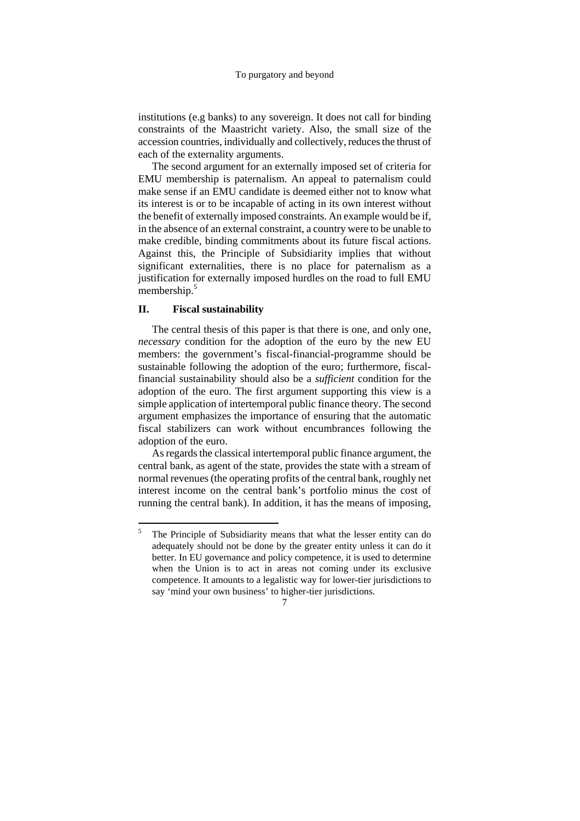institutions (e.g banks) to any sovereign. It does not call for binding constraints of the Maastricht variety. Also, the small size of the accession countries, individually and collectively, reduces the thrust of each of the externality arguments.

The second argument for an externally imposed set of criteria for EMU membership is paternalism. An appeal to paternalism could make sense if an EMU candidate is deemed either not to know what its interest is or to be incapable of acting in its own interest without the benefit of externally imposed constraints. An example would be if, in the absence of an external constraint, a country were to be unable to make credible, binding commitments about its future fiscal actions. Against this, the Principle of Subsidiarity implies that without significant externalities, there is no place for paternalism as a justification for externally imposed hurdles on the road to full EMU membership.<sup>[5](#page-6-0)</sup>

## **II. Fiscal sustainability**

The central thesis of this paper is that there is one, and only one, *necessary* condition for the adoption of the euro by the new EU members: the government's fiscal-financial-programme should be sustainable following the adoption of the euro; furthermore, fiscalfinancial sustainability should also be a *sufficient* condition for the adoption of the euro. The first argument supporting this view is a simple application of intertemporal public finance theory. The second argument emphasizes the importance of ensuring that the automatic fiscal stabilizers can work without encumbrances following the adoption of the euro.

As regards the classical intertemporal public finance argument, the central bank, as agent of the state, provides the state with a stream of normal revenues (the operating profits of the central bank, roughly net interest income on the central bank's portfolio minus the cost of running the central bank). In addition, it has the means of imposing,

<span id="page-6-0"></span><sup>5</sup> The Principle of Subsidiarity means that what the lesser entity can do adequately should not be done by the greater entity unless it can do it better. In EU governance and policy competence, it is used to determine when the Union is to act in areas not coming under its exclusive competence. It amounts to a legalistic way for lower-tier jurisdictions to say 'mind your own business' to higher-tier jurisdictions.

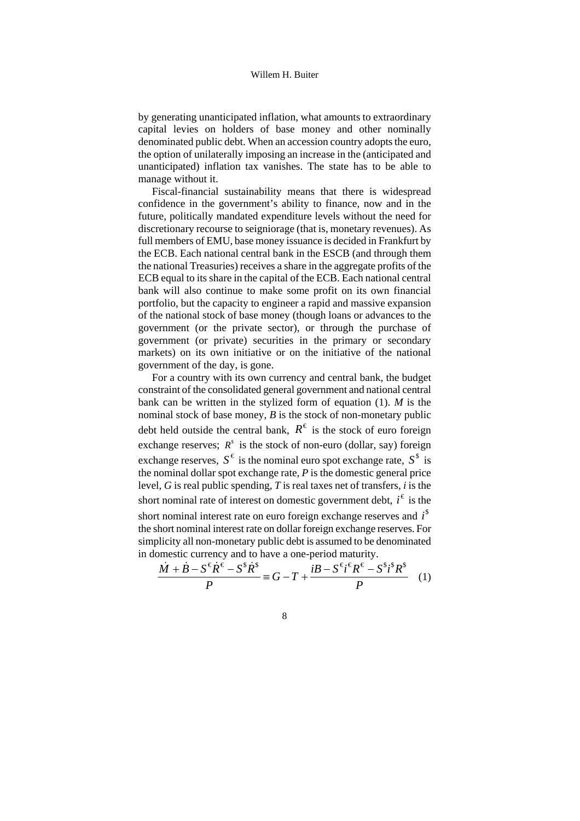by generating unanticipated inflation, what amounts to extraordinary capital levies on holders of base money and other nominally denominated public debt. When an accession country adopts the euro, the option of unilaterally imposing an increase in the (anticipated and unanticipated) inflation tax vanishes. The state has to be able to manage without it.

Fiscal-financial sustainability means that there is widespread confidence in the government's ability to finance, now and in the future, politically mandated expenditure levels without the need for discretionary recourse to seigniorage (that is, monetary revenues). As full members of EMU, base money issuance is decided in Frankfurt by the ECB. Each national central bank in the ESCB (and through them the national Treasuries) receives a share in the aggregate profits of the ECB equal to its share in the capital of the ECB. Each national central bank will also continue to make some profit on its own financial portfolio, but the capacity to engineer a rapid and massive expansion of the national stock of base money (though loans or advances to the government (or the private sector), or through the purchase of government (or private) securities in the primary or secondary markets) on its own initiative or on the initiative of the national government of the day, is gone.

For a country with its own currency and central bank, the budget constraint of the consolidated general government and national central bank can be written in the stylized form of equation (1). *M* is the nominal stock of base money,  $B$  is the stock of non-monetary public debt held outside the central bank,  $R^{\epsilon}$  is the stock of euro foreign exchange reserves;  $R^s$  is the stock of non-euro (dollar, say) foreign exchange reserves,  $S^{\epsilon}$  is the nominal euro spot exchange rate,  $S^{\delta}$  is the nominal dollar spot exchange rate, *P* is the domestic general price level, *G* is real public spending, *T* is real taxes net of transfers, *i* is the short nominal rate of interest on domestic government debt,  $i^{\epsilon}$  is the short nominal interest rate on euro foreign exchange reserves and  $i<sup>s</sup>$ the short nominal interest rate on dollar foreign exchange reserves. For simplicity all non-monetary public debt is assumed to be denominated in domestic currency and to have a one-period maturity.

$$
\frac{\dot{M} + \dot{B} - S^{\epsilon}\dot{R}^{\epsilon} - S^{\delta}\dot{R}^{\delta}}{P} = G - T + \frac{iB - S^{\epsilon}\dot{t}^{\epsilon}R^{\epsilon} - S^{\delta}\dot{t}^{\delta}R^{\delta}}{P} \quad (1)
$$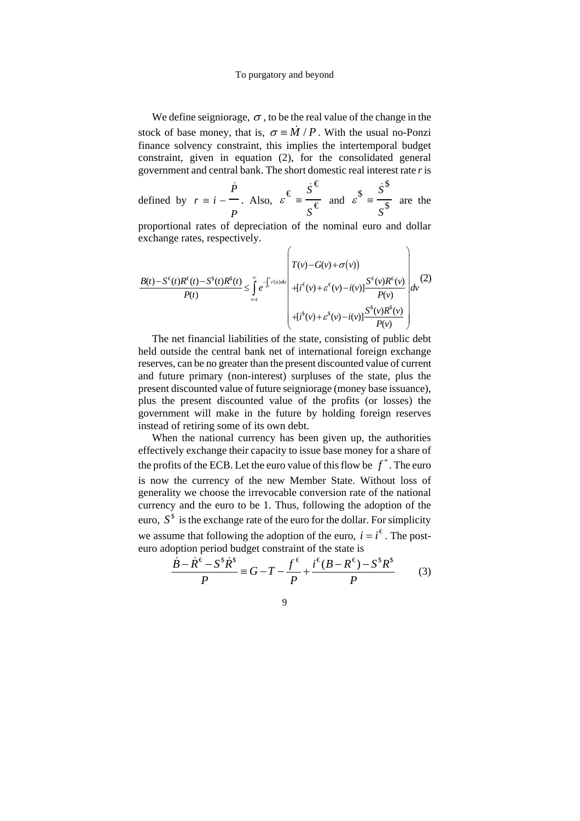#### To purgatory and beyond

We define seigniorage,  $\sigma$ , to be the real value of the change in the stock of base money, that is,  $\sigma = M / P$ . With the usual no-Ponzi finance solvency constraint, this implies the intertemporal budget constraint, given in equation (2), for the consolidated general government and central bank. The short domestic real interest rate *r* is

defined by *P*  $r \equiv i$ *P*  $\equiv i -$ .<br>P . Also, € € € *S S*  $\varepsilon$  = ċ and \$ \$ \$ *S S*  $\varepsilon^*$  =  $\dot{\vec{\Omega}}$ are the

proportional rates of depreciation of the nominal euro and dollar exchange rates, respectively.

$$
\frac{B(t) - S^{\epsilon}(t)R^{\epsilon}(t) - S^{\delta}(t)R^{\delta}(t)}{P(t)} \leq \int_{v=t}^{\infty} e^{-\int_{v}^{v} r(u)du} \begin{pmatrix} T(v) - G(v) + \sigma(v) \\ + [i^{\epsilon}(v) + \varepsilon^{\epsilon}(v) - i(v)] \frac{S^{\epsilon}(v)R^{\epsilon}(v)}{P(v)} \\ + [i^{\delta}(v) + \varepsilon^{\delta}(v) - i(v)] \frac{S^{\delta}(v)R^{\delta}(v)}{P(v)} \end{pmatrix} dv
$$
(2)

The net financial liabilities of the state, consisting of public debt held outside the central bank net of international foreign exchange reserves, can be no greater than the present discounted value of current and future primary (non-interest) surpluses of the state, plus the present discounted value of future seigniorage (money base issuance), plus the present discounted value of the profits (or losses) the government will make in the future by holding foreign reserves instead of retiring some of its own debt.

When the national currency has been given up, the authorities effectively exchange their capacity to issue base money for a share of the profits of the ECB. Let the euro value of this flow be  $f^*$ . The euro is now the currency of the new Member State. Without loss of generality we choose the irrevocable conversion rate of the national currency and the euro to be 1. Thus, following the adoption of the euro,  $S^{\$}$  is the exchange rate of the euro for the dollar. For simplicity we assume that following the adoption of the euro,  $i = i^{\epsilon}$ . The posteuro adoption period budget constraint of the state is

$$
\frac{\dot{B} - \dot{R}^{\epsilon} - S^{\delta}\dot{R}^{\delta}}{P} = G - T - \frac{f^{\epsilon}}{P} + \frac{i^{\epsilon}(B - R^{\epsilon}) - S^{\delta}R^{\delta}}{P}
$$
(3)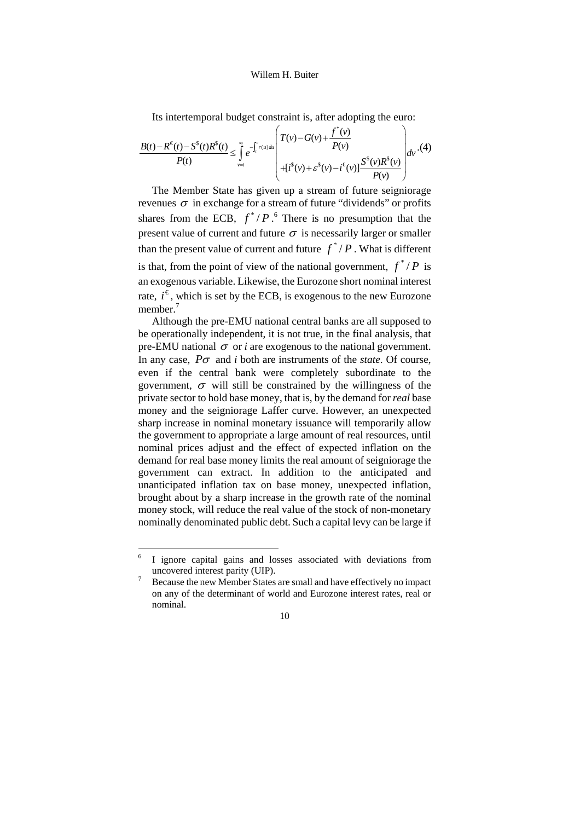## Willem H. Buiter

Its intertemporal budget constraint is, after adopting the euro: \*

$$
\frac{B(t) - R^{\epsilon}(t) - S^{s}(t)R^{s}(t)}{P(t)} \leq \int_{v=t}^{\infty} e^{-\int_{t}^{v} r(u) du} \begin{pmatrix} T(v) - G(v) + \frac{f^{*}(v)}{P(v)} \\ + [i^{s}(v) + \varepsilon^{s}(v) - i^{s}(v)] \frac{S^{s}(v)R^{s}(v)}{P(v)} \end{pmatrix} dv \cdot (4)
$$

The Member State has given up a stream of future seigniorage revenues  $\sigma$  in exchange for a stream of future "dividends" or profits shares from the ECB,  $f^*/P$ .<sup>[6](#page-9-0)</sup> There is no presumption that the present value of current and future  $\sigma$  is necessarily larger or smaller than the present value of current and future  $f^*/P$ . What is different is that, from the point of view of the national government,  $f^*/P$  is an exogenous variable. Likewise, the Eurozone short nominal interest rate,  $i^{\epsilon}$ , which is set by the ECB, is exogenous to the new Eurozone member.<sup>[7](#page-9-1)</sup>

Although the pre-EMU national central banks are all supposed to be operationally independent, it is not true, in the final analysis, that pre-EMU national  $\sigma$  or *i* are exogenous to the national government. In any case,  $P\sigma$  and *i* both are instruments of the *state*. Of course, even if the central bank were completely subordinate to the government,  $\sigma$  will still be constrained by the willingness of the private sector to hold base money, that is, by the demand for *real* base money and the seigniorage Laffer curve. However, an unexpected sharp increase in nominal monetary issuance will temporarily allow the government to appropriate a large amount of real resources, until nominal prices adjust and the effect of expected inflation on the demand for real base money limits the real amount of seigniorage the government can extract. In addition to the anticipated and unanticipated inflation tax on base money, unexpected inflation, brought about by a sharp increase in the growth rate of the nominal money stock, will reduce the real value of the stock of non-monetary nominally denominated public debt. Such a capital levy can be large if

<span id="page-9-0"></span><sup>6</sup> I ignore capital gains and losses associated with deviations from uncovered interest parity (UIP).

<span id="page-9-1"></span><sup>7</sup> Because the new Member States are small and have effectively no impact on any of the determinant of world and Eurozone interest rates, real or nominal.

<sup>10</sup>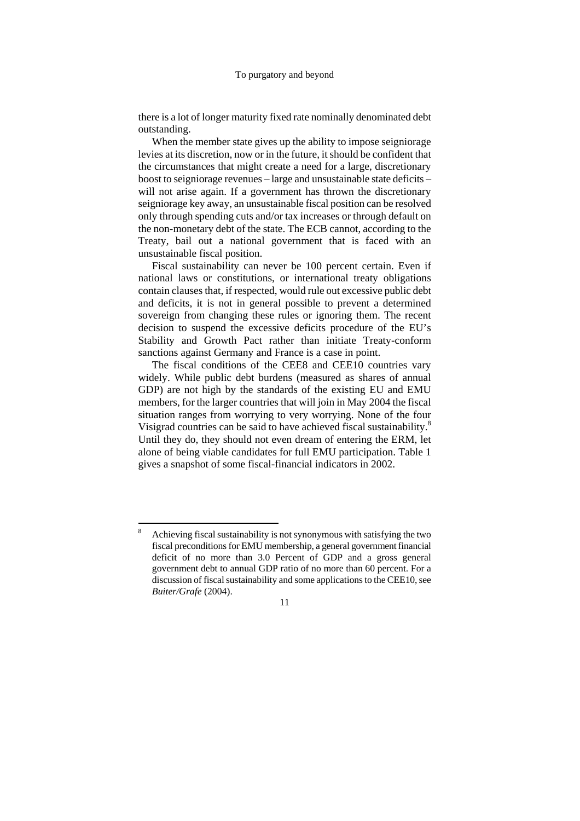there is a lot of longer maturity fixed rate nominally denominated debt outstanding.

When the member state gives up the ability to impose seigniorage levies at its discretion, now or in the future, it should be confident that the circumstances that might create a need for a large, discretionary boost to seigniorage revenues – large and unsustainable state deficits – will not arise again. If a government has thrown the discretionary seigniorage key away, an unsustainable fiscal position can be resolved only through spending cuts and/or tax increases or through default on the non-monetary debt of the state. The ECB cannot, according to the Treaty, bail out a national government that is faced with an unsustainable fiscal position.

Fiscal sustainability can never be 100 percent certain. Even if national laws or constitutions, or international treaty obligations contain clauses that, if respected, would rule out excessive public debt and deficits, it is not in general possible to prevent a determined sovereign from changing these rules or ignoring them. The recent decision to suspend the excessive deficits procedure of the EU's Stability and Growth Pact rather than initiate Treaty-conform sanctions against Germany and France is a case in point.

The fiscal conditions of the CEE8 and CEE10 countries vary widely. While public debt burdens (measured as shares of annual GDP) are not high by the standards of the existing EU and EMU members, for the larger countries that will join in May 2004 the fiscal situation ranges from worrying to very worrying. None of the four Visigrad countries can be said to have achieved fiscal sustainability.<sup>[8](#page-10-0)</sup> Until they do, they should not even dream of entering the ERM, let alone of being viable candidates for full EMU participation. Table 1 gives a snapshot of some fiscal-financial indicators in 2002.

<span id="page-10-0"></span><sup>8</sup> Achieving fiscal sustainability is not synonymous with satisfying the two fiscal preconditions for EMU membership, a general government financial deficit of no more than 3.0 Percent of GDP and a gross general government debt to annual GDP ratio of no more than 60 percent. For a discussion of fiscal sustainability and some applications to the CEE10, see *Buiter/Grafe* (2004).

<sup>11</sup>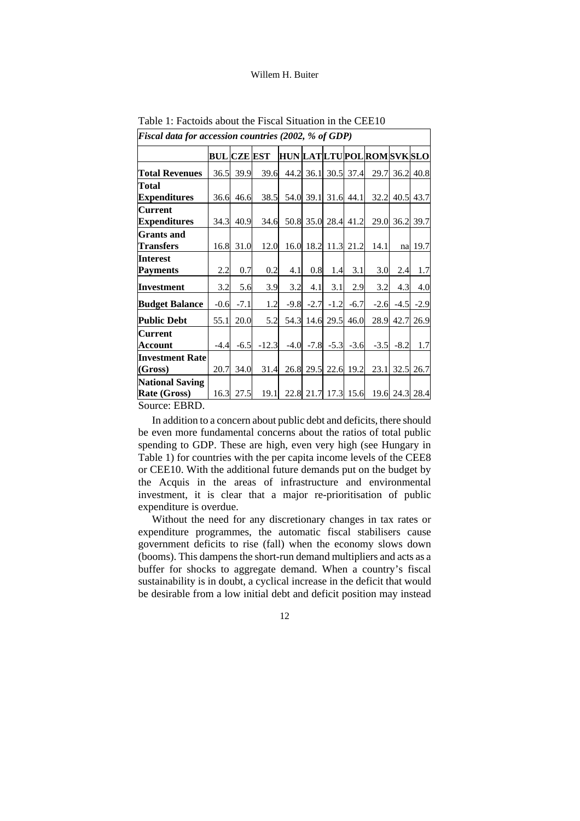| Fiscal data for accession countries (2002, % of GDP) |        |                    |         |        |                     |        |           |                                    |                |        |
|------------------------------------------------------|--------|--------------------|---------|--------|---------------------|--------|-----------|------------------------------------|----------------|--------|
|                                                      |        | <b>BUL CZE EST</b> |         |        |                     |        |           | <b>HUN LAT LTU POL ROM SVK SLO</b> |                |        |
| <b>Total Revenues</b>                                | 36.5   | 39.9               | 39.6    | 44.2   | 36.1                |        | 30.5 37.4 | 29.7                               | 36.2           | 40.8   |
| Total                                                |        |                    |         |        |                     |        |           |                                    |                |        |
| <b>Expenditures</b>                                  | 36.6   | 46.6               | 38.5    |        | 54.0 39.1           |        | 31.6 44.1 | 32.2                               | 40.5           | 43.7   |
| <b>Current</b>                                       |        |                    |         |        |                     |        |           |                                    |                |        |
| <b>Expenditures</b>                                  | 34.3   | 40.9               | 34.6    |        | 50.8 35.0 28.4 41.2 |        |           | 29.0                               | 36.2           | 39.7   |
| <b>Grants</b> and                                    |        |                    |         |        |                     |        |           |                                    |                |        |
| <b>Transfers</b>                                     | 16.8   | 31.0               | 12.0    | 16.0   | 18.2                | 11.3   | 21.2      | 14.1                               | nal            | 19.7   |
| <b>Interest</b>                                      |        |                    |         |        |                     |        |           |                                    |                |        |
| <b>Payments</b>                                      | 2.2    | 0.7                | 0.2     | 4.1    | 0.8                 | 1.4    | 3.1       | 3.0                                | 2.4            | 1.7    |
| <b>Investment</b>                                    | 3.2    | 5.6                | 3.9     | 3.2    | 4.1                 | 3.1    | 2.9       | 3.2                                | 4.3            | 4.0    |
| <b>Budget Balance</b>                                | $-0.6$ | $-7.1$             | 1.2     | $-9.8$ | $-2.7$              | $-1.2$ | $-6.7$    | $-2.6$                             | $-4.5$         | $-2.9$ |
| <b>Public Debt</b>                                   | 55.1   | 20.0               | 5.2     | 54.3   | 14.6                | 29.5   | 46.0      | 28.9                               | 42.7           | 26.9   |
| Current                                              |        |                    |         |        |                     |        |           |                                    |                |        |
| Account                                              | $-4.4$ | $-6.5$             | $-12.3$ | $-4.0$ | $-7.8$              | $-5.3$ | $-3.6$    | $-3.5$                             | $-8.2$         | 1.7    |
| <b>Investment Rate</b>                               |        |                    |         |        |                     |        |           |                                    |                |        |
| (Gross)                                              | 20.7   | 34.0               | 31.4    | 26.8   | 29.5                |        | 22.6 19.2 | 23.1                               | 32.5           | 26.7   |
| <b>National Saving</b>                               |        |                    |         |        |                     |        |           |                                    |                |        |
| Rate (Gross)                                         | 16.3   | 27.5               | 19.1    |        | 22.8 21.7           |        | 17.3 15.6 |                                    | 19.6 24.3 28.4 |        |
| $S_{\Omega UTCP}$ FRRD                               |        |                    |         |        |                     |        |           |                                    |                |        |

Table 1: Factoids about the Fiscal Situation in the CEE10

Source: EBRD.

In addition to a concern about public debt and deficits, there should be even more fundamental concerns about the ratios of total public spending to GDP. These are high, even very high (see Hungary in Table 1) for countries with the per capita income levels of the CEE8 or CEE10. With the additional future demands put on the budget by the Acquis in the areas of infrastructure and environmental investment, it is clear that a major re-prioritisation of public expenditure is overdue.

Without the need for any discretionary changes in tax rates or expenditure programmes, the automatic fiscal stabilisers cause government deficits to rise (fall) when the economy slows down (booms). This dampens the short-run demand multipliers and acts as a buffer for shocks to aggregate demand. When a country's fiscal sustainability is in doubt, a cyclical increase in the deficit that would be desirable from a low initial debt and deficit position may instead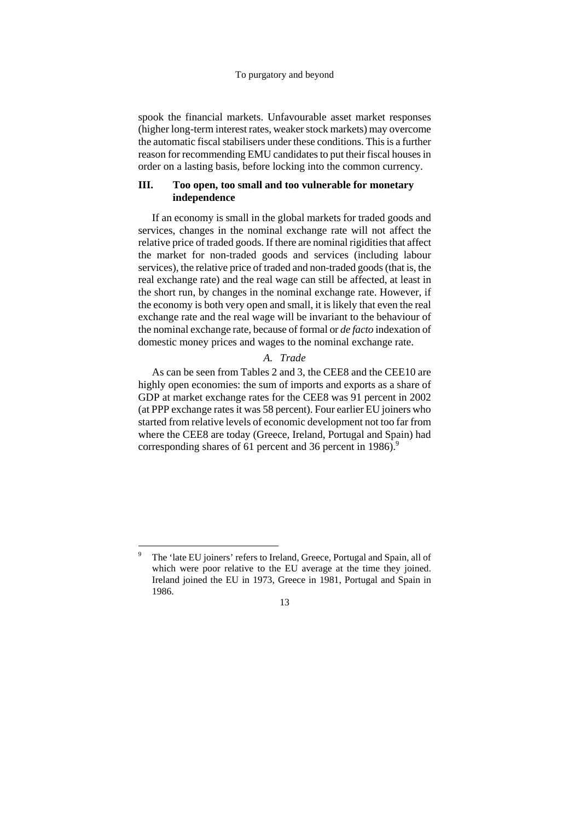spook the financial markets. Unfavourable asset market responses (higher long-term interest rates, weaker stock markets) may overcome the automatic fiscal stabilisers under these conditions. This is a further reason for recommending EMU candidates to put their fiscal houses in order on a lasting basis, before locking into the common currency.

# **III. Too open, too small and too vulnerable for monetary independence**

If an economy is small in the global markets for traded goods and services, changes in the nominal exchange rate will not affect the relative price of traded goods. If there are nominal rigidities that affect the market for non-traded goods and services (including labour services), the relative price of traded and non-traded goods (that is, the real exchange rate) and the real wage can still be affected, at least in the short run, by changes in the nominal exchange rate. However, if the economy is both very open and small, it is likely that even the real exchange rate and the real wage will be invariant to the behaviour of the nominal exchange rate, because of formal or *de facto* indexation of domestic money prices and wages to the nominal exchange rate.

# *A. Trade*

As can be seen from Tables 2 and 3, the CEE8 and the CEE10 are highly open economies: the sum of imports and exports as a share of GDP at market exchange rates for the CEE8 was 91 percent in 2002 (at PPP exchange rates it was 58 percent). Four earlier EU joiners who started from relative levels of economic development not too far from where the CEE8 are today (Greece, Ireland, Portugal and Spain) had corresponding shares of 61 percent and 36 percent in 1986). $9$ 

<span id="page-12-0"></span>The 'late EU joiners' refers to Ireland, Greece, Portugal and Spain, all of which were poor relative to the EU average at the time they joined. Ireland joined the EU in 1973, Greece in 1981, Portugal and Spain in 1986.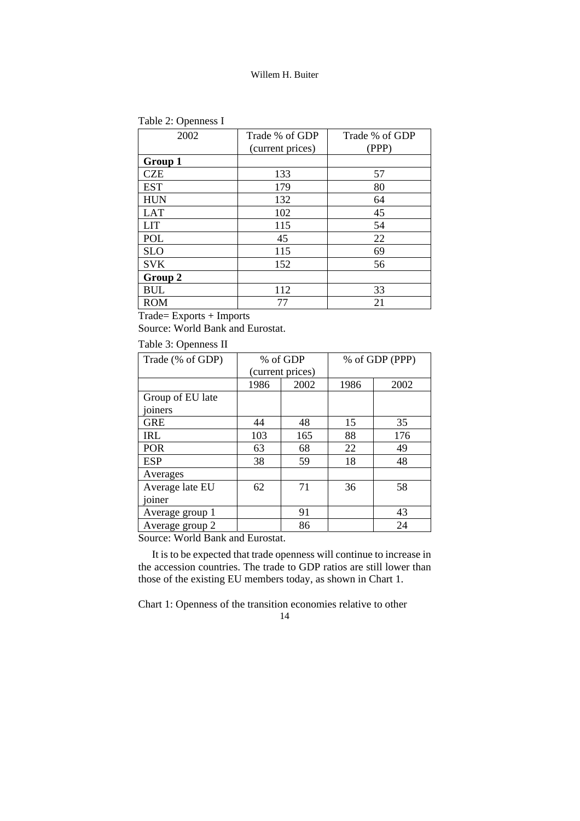| Table 2: Openness I |  |
|---------------------|--|
|---------------------|--|

| 2002       | Trade % of GDP<br>(current prices) | Trade % of GDP<br>(PPP) |
|------------|------------------------------------|-------------------------|
| Group 1    |                                    |                         |
| <b>CZE</b> | 133                                | 57                      |
| <b>EST</b> | 179                                | 80                      |
| <b>HUN</b> | 132                                | 64                      |
| <b>LAT</b> | 102                                | 45                      |
| <b>LIT</b> | 115                                | 54                      |
| POL        | 45                                 | 22                      |
| <b>SLO</b> | 115                                | 69                      |
| <b>SVK</b> | 152                                | 56                      |
| Group 2    |                                    |                         |
| <b>BUL</b> | 112                                | 33                      |
| <b>ROM</b> | 77                                 | 21                      |

Trade= Exports + Imports

Source: World Bank and Eurostat.

Table 3: Openness II

| Trade (% of GDP) | % of GDP         |      | % of GDP (PPP) |      |
|------------------|------------------|------|----------------|------|
|                  | (current prices) |      |                |      |
|                  | 1986             | 2002 | 1986           | 2002 |
| Group of EU late |                  |      |                |      |
| joiners          |                  |      |                |      |
| <b>GRE</b>       | 44               | 48   | 15             | 35   |
| <b>IRL</b>       | 103              | 165  | 88             | 176  |
| <b>POR</b>       | 63               | 68   | 22             | 49   |
| <b>ESP</b>       | 38               | 59   | 18             | 48   |
| Averages         |                  |      |                |      |
| Average late EU  | 62               | 71   | 36             | 58   |
| joiner           |                  |      |                |      |
| Average group 1  |                  | 91   |                | 43   |
| Average group 2  |                  | 86   |                | 24   |

Source: World Bank and Eurostat.

It is to be expected that trade openness will continue to increase in the accession countries. The trade to GDP ratios are still lower than those of the existing EU members today, as shown in Chart 1.

Chart 1: Openness of the transition economies relative to other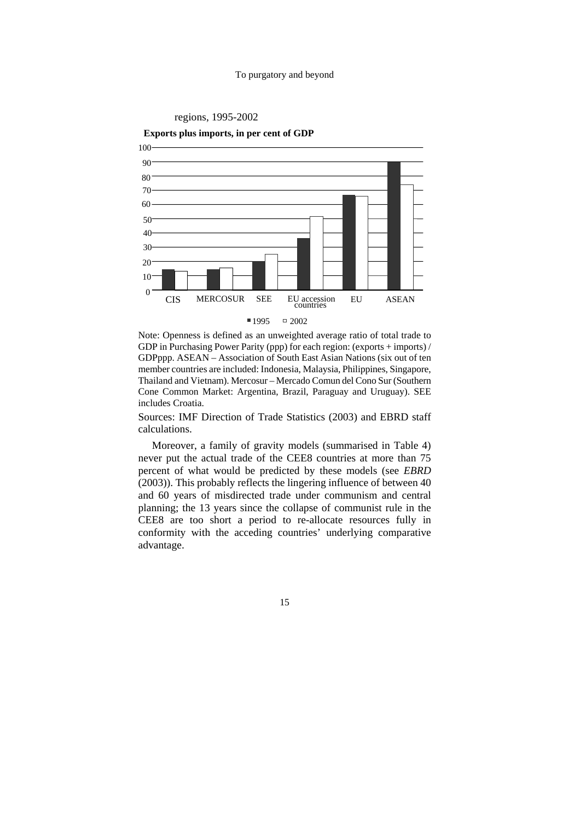#### To purgatory and beyond

regions, 1995-2002



Note: Openness is defined as an unweighted average ratio of total trade to GDP in Purchasing Power Parity (ppp) for each region: (exports + imports) / GDPppp. ASEAN – Association of South East Asian Nations (six out of ten member countries are included: Indonesia, Malaysia, Philippines, Singapore, Thailand and Vietnam). Mercosur – Mercado Comun del Cono Sur (Southern Cone Common Market: Argentina, Brazil, Paraguay and Uruguay). SEE includes Croatia.

Sources: IMF Direction of Trade Statistics (2003) and EBRD staff calculations.

Moreover, a family of gravity models (summarised in Table 4) never put the actual trade of the CEE8 countries at more than 75 percent of what would be predicted by these models (see *EBRD* (2003)). This probably reflects the lingering influence of between 40 and 60 years of misdirected trade under communism and central planning; the 13 years since the collapse of communist rule in the CEE8 are too short a period to re-allocate resources fully in conformity with the acceding countries' underlying comparative advantage.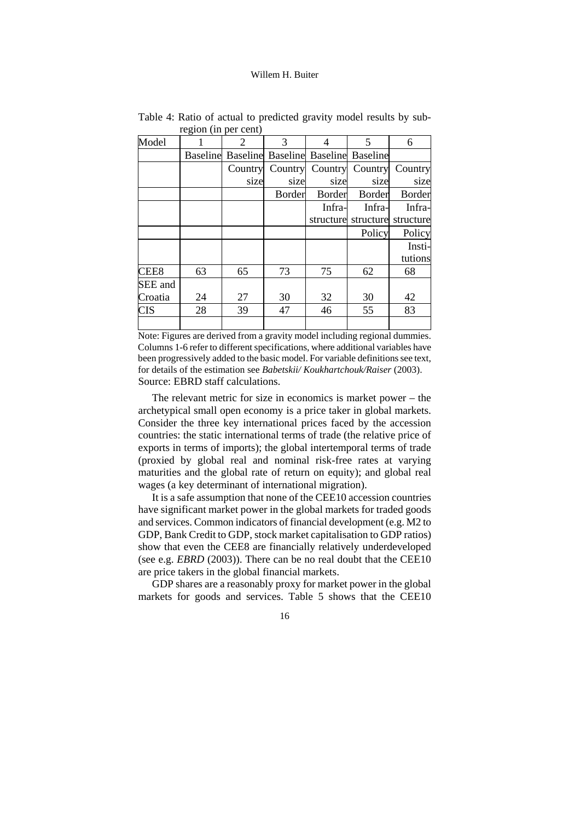|            | $10,10$ $\mu$ $\mu$ $\mu$ $\sigma$ $\sigma$ $\sigma$ |         |               |                                     |                               |               |
|------------|------------------------------------------------------|---------|---------------|-------------------------------------|-------------------------------|---------------|
| Model      |                                                      | 2       | 3             | 4                                   | 5                             | 6             |
|            |                                                      |         |               | Baseline Baseline Baseline Baseline |                               |               |
|            |                                                      | Country |               | Country Country Country             |                               | Country       |
|            |                                                      | size    | size          | size                                | size                          | size          |
|            |                                                      |         | <b>Border</b> | <b>Border</b>                       | <b>Border</b>                 | <b>Border</b> |
|            |                                                      |         |               | Infra-                              | Infra-                        | Infra-        |
|            |                                                      |         |               |                                     | structure structure structure |               |
|            |                                                      |         |               |                                     | Policy                        | Policy        |
|            |                                                      |         |               |                                     |                               | Insti-        |
|            |                                                      |         |               |                                     |                               | tutions       |
| CEE8       | 63                                                   | 65      | 73            | 75                                  | 62                            | 68            |
| SEE and    |                                                      |         |               |                                     |                               |               |
| Croatia    | 24                                                   | 27      | 30            | 32                                  | 30                            | 42            |
| <b>CIS</b> | 28                                                   | 39      | 47            | 46                                  | 55                            | 83            |
|            |                                                      |         |               |                                     |                               |               |

Table 4: Ratio of actual to predicted gravity model results by subregion (in per cent)

Note: Figures are derived from a gravity model including regional dummies. Columns 1-6 refer to different specifications, where additional variables have been progressively added to the basic model. For variable definitions see text, for details of the estimation see *Babetskii/ Koukhartchouk/Raiser* (2003). Source: EBRD staff calculations.

The relevant metric for size in economics is market power – the archetypical small open economy is a price taker in global markets. Consider the three key international prices faced by the accession countries: the static international terms of trade (the relative price of exports in terms of imports); the global intertemporal terms of trade (proxied by global real and nominal risk-free rates at varying maturities and the global rate of return on equity); and global real wages (a key determinant of international migration).

It is a safe assumption that none of the CEE10 accession countries have significant market power in the global markets for traded goods and services. Common indicators of financial development (e.g. M2 to GDP, Bank Credit to GDP, stock market capitalisation to GDP ratios) show that even the CEE8 are financially relatively underdeveloped (see e.g. *EBRD* (2003)). There can be no real doubt that the CEE10 are price takers in the global financial markets.

GDP shares are a reasonably proxy for market power in the global markets for goods and services. Table 5 shows that the CEE10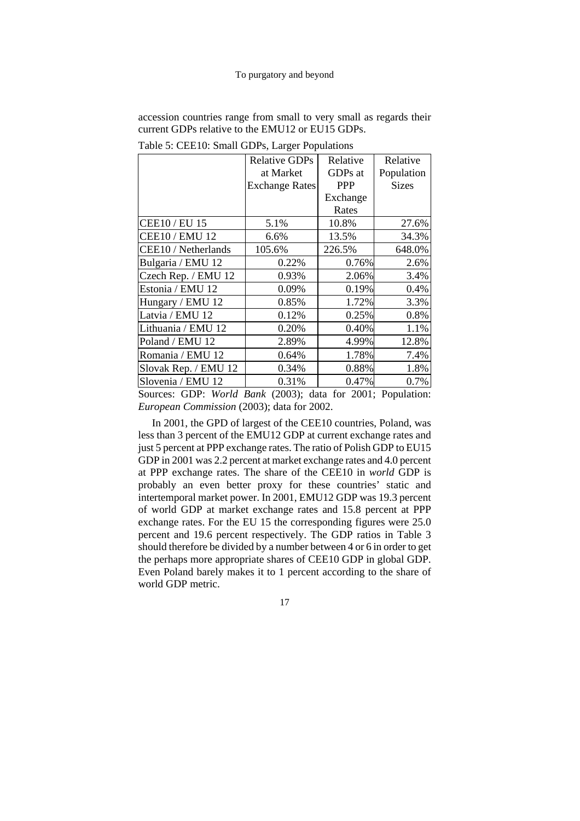### To purgatory and beyond

accession countries range from small to very small as regards their current GDPs relative to the EMU12 or EU15 GDPs.

|                       | <b>Relative GDPs</b>  | Relative            | Relative     |
|-----------------------|-----------------------|---------------------|--------------|
|                       |                       |                     |              |
|                       | at Market             | GDP <sub>s</sub> at | Population   |
|                       | <b>Exchange Rates</b> | <b>PPP</b>          | <b>Sizes</b> |
|                       |                       | Exchange            |              |
|                       |                       | Rates               |              |
| <b>CEE10/EU15</b>     | 5.1%                  | 10.8%               | 27.6%        |
| <b>CEE10 / EMU 12</b> | 6.6%                  | 13.5%               | 34.3%        |
| CEE10 / Netherlands   | 105.6%                | 226.5%              | 648.0%       |
| Bulgaria / EMU 12     | 0.22%                 | 0.76%               | 2.6%         |
| Czech Rep. / EMU 12   | 0.93%                 | 2.06%               | 3.4%         |
| Estonia / EMU 12      | 0.09%                 | 0.19%               | 0.4%         |
| Hungary / EMU 12      | 0.85%                 | 1.72%               | 3.3%         |
| Latvia / EMU 12       | 0.12%                 | 0.25%               | 0.8%         |
| Lithuania / EMU 12    | 0.20%                 | 0.40%               | 1.1%         |
| Poland / EMU 12       | 2.89%                 | 4.99%               | 12.8%        |
| Romania / EMU 12      | 0.64%                 | 1.78%               | 7.4%         |
| Slovak Rep. / EMU 12  | 0.34%                 | 0.88%               | 1.8%         |
| Slovenia / EMU 12     | 0.31%                 | 0.47%               | 0.7%         |

Table 5: CEE10: Small GDPs, Larger Populations

Sources: GDP: *World Bank* (2003); data for 2001; Population: *European Commission* (2003); data for 2002.

In 2001, the GPD of largest of the CEE10 countries, Poland, was less than 3 percent of the EMU12 GDP at current exchange rates and just 5 percent at PPP exchange rates. The ratio of Polish GDP to EU15 GDP in 2001 was 2.2 percent at market exchange rates and 4.0 percent at PPP exchange rates. The share of the CEE10 in *world* GDP is probably an even better proxy for these countries' static and intertemporal market power. In 2001, EMU12 GDP was 19.3 percent of world GDP at market exchange rates and 15.8 percent at PPP exchange rates. For the EU 15 the corresponding figures were 25.0 percent and 19.6 percent respectively. The GDP ratios in Table 3 should therefore be divided by a number between 4 or 6 in order to get the perhaps more appropriate shares of CEE10 GDP in global GDP. Even Poland barely makes it to 1 percent according to the share of world GDP metric.

17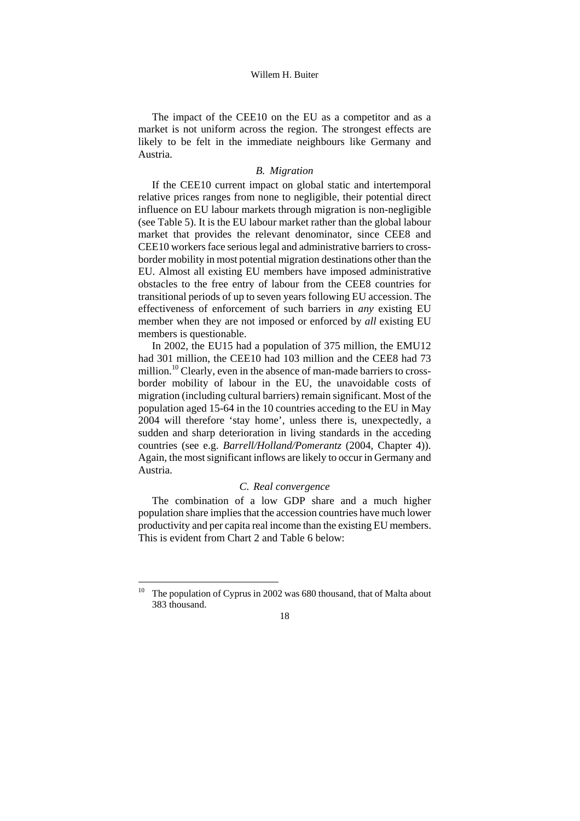The impact of the CEE10 on the EU as a competitor and as a market is not uniform across the region. The strongest effects are likely to be felt in the immediate neighbours like Germany and Austria.

# *B. Migration*

If the CEE10 current impact on global static and intertemporal relative prices ranges from none to negligible, their potential direct influence on EU labour markets through migration is non-negligible (see Table 5). It is the EU labour market rather than the global labour market that provides the relevant denominator, since CEE8 and CEE10 workers face serious legal and administrative barriers to crossborder mobility in most potential migration destinations other than the EU. Almost all existing EU members have imposed administrative obstacles to the free entry of labour from the CEE8 countries for transitional periods of up to seven years following EU accession. The effectiveness of enforcement of such barriers in *any* existing EU member when they are not imposed or enforced by *all* existing EU members is questionable.

In 2002, the EU15 had a population of 375 million, the EMU12 had 301 million, the CEE10 had 103 million and the CEE8 had 73 million.<sup>10</sup> Clearly, even in the absence of man-made barriers to crossborder mobility of labour in the EU, the unavoidable costs of migration (including cultural barriers) remain significant. Most of the population aged 15-64 in the 10 countries acceding to the EU in May 2004 will therefore 'stay home', unless there is, unexpectedly, a sudden and sharp deterioration in living standards in the acceding countries (see e.g. *Barrell/Holland/Pomerantz* (2004, Chapter 4)). Again, the most significant inflows are likely to occur in Germany and Austria.

#### *C. Real convergence*

The combination of a low GDP share and a much higher population share implies that the accession countries have much lower productivity and per capita real income than the existing EU members. This is evident from Chart 2 and Table 6 below:

<span id="page-17-0"></span><sup>10</sup> The population of Cyprus in 2002 was 680 thousand, that of Malta about 383 thousand.

<sup>18</sup>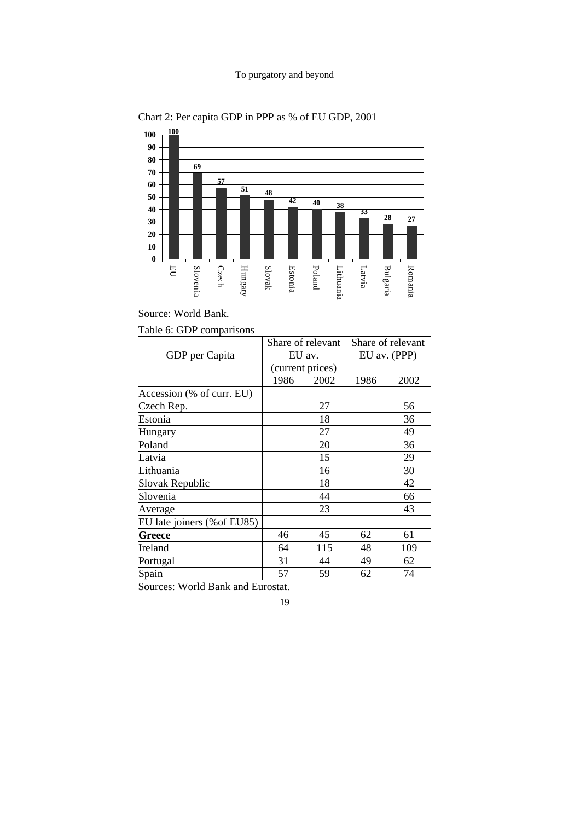

Chart 2: Per capita GDP in PPP as % of EU GDP, 2001

Source: World Bank.

Table 6: GDP comparisons

|                             | Share of relevant |                  |      | Share of relevant |  |  |
|-----------------------------|-------------------|------------------|------|-------------------|--|--|
| GDP per Capita              |                   | EU av.           |      | EU av. (PPP)      |  |  |
|                             |                   | (current prices) |      |                   |  |  |
|                             | 1986              | 2002             | 1986 | 2002              |  |  |
| Accession (% of curr. EU)   |                   |                  |      |                   |  |  |
| Czech Rep.                  |                   | 27               |      | 56                |  |  |
| Estonia                     |                   | 18               |      | 36                |  |  |
| Hungary                     |                   | 27               |      | 49                |  |  |
| Poland                      |                   | 20               |      | 36                |  |  |
| Latvia                      |                   | 15               |      | 29                |  |  |
| Lithuania                   |                   | 16               |      | 30                |  |  |
| Slovak Republic             |                   | 18               |      | 42                |  |  |
| Slovenia                    |                   | 44               |      | 66                |  |  |
| Average                     |                   | 23               |      | 43                |  |  |
| EU late joiners (% of EU85) |                   |                  |      |                   |  |  |
| <b>Greece</b>               | 46                | 45               | 62   | 61                |  |  |
| Ireland                     | 64                | 115              | 48   | 109               |  |  |
| Portugal                    | 31                | 44               | 49   | 62                |  |  |
| Spain                       | 57                | 59               | 62   | 74                |  |  |

Sources: World Bank and Eurostat.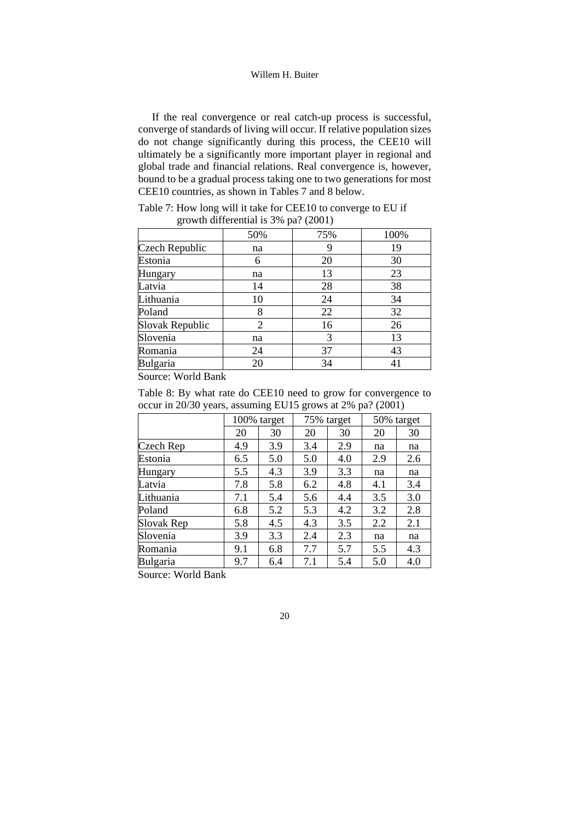If the real convergence or real catch-up process is successful, converge of standards of living will occur. If relative population sizes do not change significantly during this process, the CEE10 will ultimately be a significantly more important player in regional and global trade and financial relations. Real convergence is, however, bound to be a gradual process taking one to two generations for most CEE10 countries, as shown in Tables 7 and 8 below.

| Table 7: How long will it take for CEE10 to converge to EU if |  |
|---------------------------------------------------------------|--|
| growth differential is $3\%$ pa? (2001)                       |  |

|                 | 50% | 75% | 100% |
|-----------------|-----|-----|------|
| Czech Republic  | na  | Ÿ   | 19   |
| Estonia         | 6   | 20  | 30   |
| Hungary         | na  | 13  | 23   |
| Latvia          | 14  | 28  | 38   |
| Lithuania       | 10  | 24  | 34   |
| Poland          | 8   | 22  | 32   |
| Slovak Republic | 2   | 16  | 26   |
| Slovenia        | na  | 3   | 13   |
| Romania         | 24  | 37  | 43   |
| Bulgaria        | 20  | 34  | 41   |

Source: World Bank

Table 8: By what rate do CEE10 need to grow for convergence to occur in 20/30 years, assuming EU15 grows at 2% pa? (2001)

|                 | 100% target |     | 75% target |     | 50% target |     |
|-----------------|-------------|-----|------------|-----|------------|-----|
|                 | 20          | 30  | 20         | 30  | 20         | 30  |
| Czech Rep       | 4.9         | 3.9 | 3.4        | 2.9 | na         | na  |
| Estonia         | 6.5         | 5.0 | 5.0        | 4.0 | 2.9        | 2.6 |
| Hungary         | 5.5         | 4.3 | 3.9        | 3.3 | na         | na  |
| Latvia          | 7.8         | 5.8 | 6.2        | 4.8 | 4.1        | 3.4 |
| Lithuania       | 7.1         | 5.4 | 5.6        | 4.4 | 3.5        | 3.0 |
| Poland          | 6.8         | 5.2 | 5.3        | 4.2 | 3.2        | 2.8 |
| Slovak Rep      | 5.8         | 4.5 | 4.3        | 3.5 | 2.2        | 2.1 |
| Slovenia        | 3.9         | 3.3 | 2.4        | 2.3 | na         | na  |
| Romania         | 9.1         | 6.8 | 7.7        | 5.7 | 5.5        | 4.3 |
| <b>Bulgaria</b> | 9.7         | 6.4 | 7.1        | 5.4 | 5.0        | 4.0 |

Source: World Bank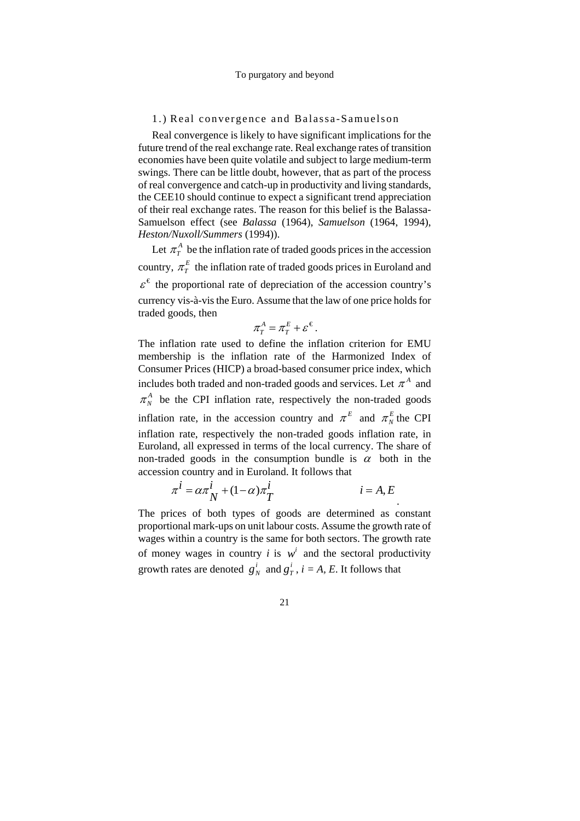# 1.) Real convergence and Balassa-Samuelson

Real convergence is likely to have significant implications for the future trend of the real exchange rate. Real exchange rates of transition economies have been quite volatile and subject to large medium-term swings. There can be little doubt, however, that as part of the process of real convergence and catch-up in productivity and living standards, the CEE10 should continue to expect a significant trend appreciation of their real exchange rates. The reason for this belief is the Balassa-Samuelson effect (see *Balassa* (1964), *Samuelson* (1964, 1994), *Heston/Nuxoll/Summers* (1994)).

Let  $\pi^A$  be the inflation rate of traded goods prices in the accession country,  $\pi_{\tau}^{E}$  the inflation rate of traded goods prices in Euroland and  $\varepsilon^{\epsilon}$  the proportional rate of depreciation of the accession country's currency vis-à-vis the Euro. Assume that the law of one price holds for traded goods, then

$$
\pi_T^A = \pi_T^E + \varepsilon^{\epsilon}.
$$

The inflation rate used to define the inflation criterion for EMU membership is the inflation rate of the Harmonized Index of Consumer Prices (HICP) a broad-based consumer price index, which includes both traded and non-traded goods and services. Let  $\pi^A$  and  $\pi_N^A$  be the CPI inflation rate, respectively the non-traded goods inflation rate, in the accession country and  $\pi^E$  and  $\pi^E$ <sub>N</sub> the CPI inflation rate, respectively the non-traded goods inflation rate, in Euroland, all expressed in terms of the local currency. The share of non-traded goods in the consumption bundle is  $\alpha$  both in the accession country and in Euroland. It follows that

$$
\pi^{i} = \alpha \pi_{N}^{i} + (1 - \alpha)\pi_{T}^{i}
$$
  $i = A, E$ 

The prices of both types of goods are determined as constant proportional mark-ups on unit labour costs. Assume the growth rate of wages within a country is the same for both sectors. The growth rate of money wages in country *i* is  $w^i$  and the sectoral productivity growth rates are denoted  $g_N^i$  and  $g_T^i$ ,  $i = A$ , *E*. It follows that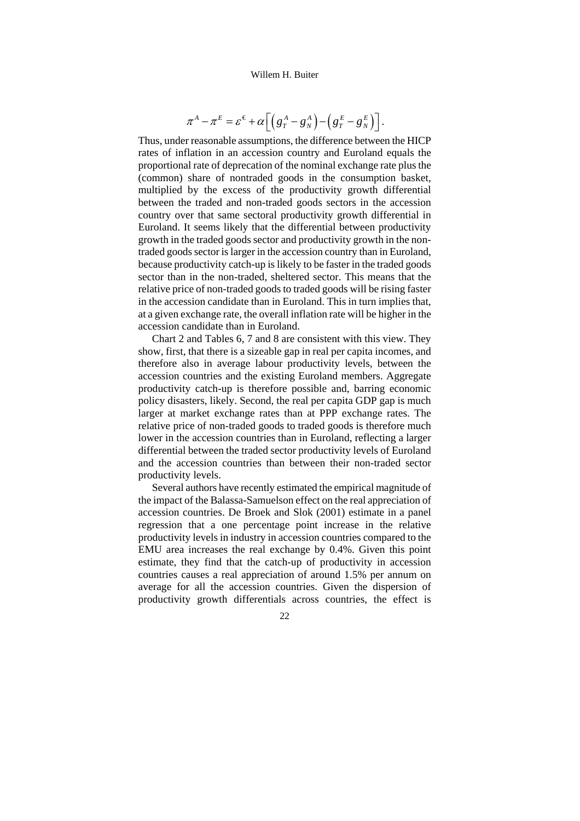## Willem H. Buiter

$$
\pi^A - \pi^E = \varepsilon^{\epsilon} + \alpha \left[ \left( g_T^A - g_N^A \right) - \left( g_T^E - g_N^E \right) \right].
$$

Thus, under reasonable assumptions, the difference between the HICP rates of inflation in an accession country and Euroland equals the proportional rate of deprecation of the nominal exchange rate plusthe (common) share of nontraded goods in the consumption basket, multiplied by the excess of the productivity growth differential between the traded and non-traded goods sectors in the accession country over that same sectoral productivity growth differential in Euroland. It seems likely that the differential between productivity growth in the traded goods sector and productivity growth in the nontraded goods sector is larger in the accession country than in Euroland, because productivity catch-up is likely to be faster in the traded goods sector than in the non-traded, sheltered sector. This means that the relative price of non-traded goods to traded goods will be rising faster in the accession candidate than in Euroland. This in turn implies that, at a given exchange rate, the overall inflation rate will be higher in the accession candidate than in Euroland.

Chart 2 and Tables 6, 7 and 8 are consistent with this view. They show, first, that there is a sizeable gap in real per capita incomes, and therefore also in average labour productivity levels, between the accession countries and the existing Euroland members. Aggregate productivity catch-up is therefore possible and, barring economic policy disasters, likely. Second, the real per capita GDP gap is much larger at market exchange rates than at PPP exchange rates. The relative price of non-traded goods to traded goods is therefore much lower in the accession countries than in Euroland, reflecting a larger differential between the traded sector productivity levels of Euroland and the accession countries than between their non-traded sector productivity levels.

Several authors have recently estimated the empirical magnitude of the impact of the Balassa-Samuelson effect on the real appreciation of accession countries. De Broek and Slok (2001) estimate in a panel regression that a one percentage point increase in the relative productivity levels in industry in accession countries compared to the EMU area increases the real exchange by 0.4%. Given this point estimate, they find that the catch-up of productivity in accession countries causes a real appreciation of around 1.5% per annum on average for all the accession countries. Given the dispersion of productivity growth differentials across countries, the effect is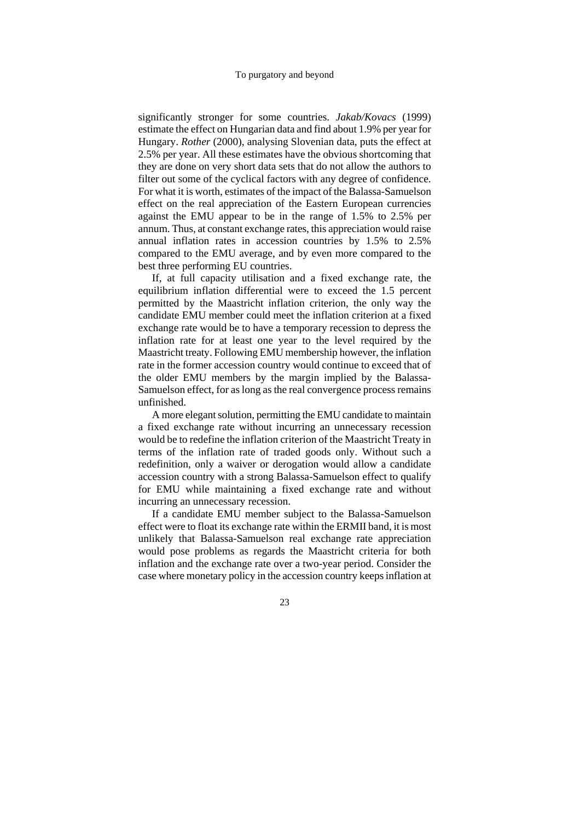significantly stronger for some countries. *Jakab/Kovacs* (1999) estimate the effect on Hungarian data and find about 1.9% per year for Hungary. *Rother* (2000), analysing Slovenian data, puts the effect at 2.5% per year. All these estimates have the obvious shortcoming that they are done on very short data sets that do not allow the authors to filter out some of the cyclical factors with any degree of confidence. For what it is worth, estimates of the impact of the Balassa-Samuelson effect on the real appreciation of the Eastern European currencies against the EMU appear to be in the range of 1.5% to 2.5% per annum. Thus, at constant exchange rates, this appreciation would raise annual inflation rates in accession countries by 1.5% to 2.5% compared to the EMU average, and by even more compared to the best three performing EU countries.

If, at full capacity utilisation and a fixed exchange rate, the equilibrium inflation differential were to exceed the 1.5 percent permitted by the Maastricht inflation criterion, the only way the candidate EMU member could meet the inflation criterion at a fixed exchange rate would be to have a temporary recession to depress the inflation rate for at least one year to the level required by the Maastricht treaty. Following EMU membership however, the inflation rate in the former accession country would continue to exceed that of the older EMU members by the margin implied by the Balassa-Samuelson effect, for as long as the real convergence process remains unfinished.

A more elegant solution, permitting the EMU candidate to maintain a fixed exchange rate without incurring an unnecessary recession would be to redefine the inflation criterion of the Maastricht Treaty in terms of the inflation rate of traded goods only. Without such a redefinition, only a waiver or derogation would allow a candidate accession country with a strong Balassa-Samuelson effect to qualify for EMU while maintaining a fixed exchange rate and without incurring an unnecessary recession.

If a candidate EMU member subject to the Balassa-Samuelson effect were to float its exchange rate within the ERMII band, it is most unlikely that Balassa-Samuelson real exchange rate appreciation would pose problems as regards the Maastricht criteria for both inflation and the exchange rate over a two-year period. Consider the case where monetary policy in the accession country keeps inflation at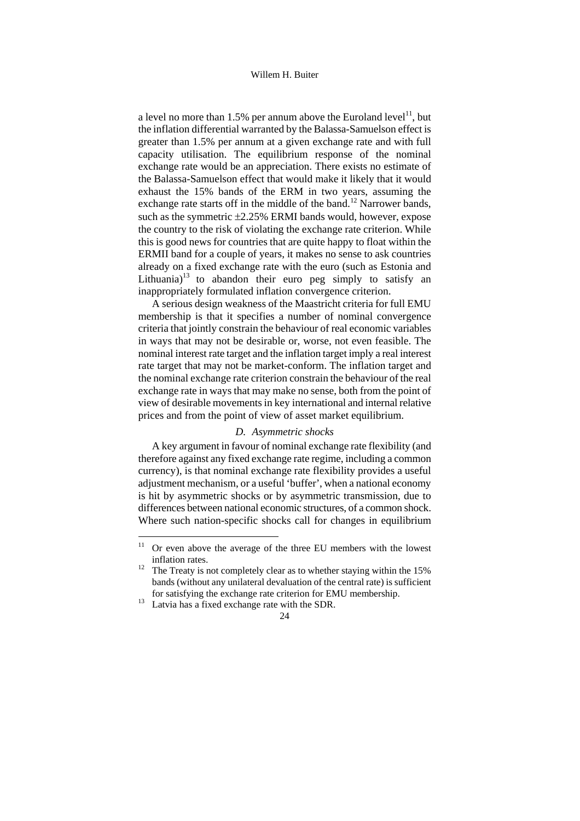a level no more than 1.5% per annum above the Euroland level<sup>11</sup>, but the inflation differential warranted by the Balassa-Samuelson effect is greater than 1.5% per annum at a given exchange rate and with full capacity utilisation. The equilibrium response of the nominal exchange rate would be an appreciation. There exists no estimate of the Balassa-Samuelson effect that would make it likely that it would exhaust the 15% bands of the ERM in two years, assuming the exchange rate starts off in the middle of the band.<sup>12</sup> Narrower bands, such as the symmetric ±2.25% ERMI bands would, however, expose the country to the risk of violating the exchange rate criterion. While this is good news for countries that are quite happy to float within the ERMII band for a couple of years, it makes no sense to ask countries already on a fixed exchange rate with the euro (such as Estonia and Lithuania) $13$  to abandon their euro peg simply to satisfy an inappropriately formulated inflation convergence criterion.

A serious design weakness of the Maastricht criteria for full EMU membership is that it specifies a number of nominal convergence criteria that jointly constrain the behaviour of real economic variables in ways that may not be desirable or, worse, not even feasible. The nominal interest rate target and the inflation target imply a real interest rate target that may not be market-conform. The inflation target and the nominal exchange rate criterion constrain the behaviour of the real exchange rate in ways that may make no sense, both from the point of view of desirable movements in key international and internal relative prices and from the point of view of asset market equilibrium.

## *D. Asymmetric shocks*

A key argument in favour of nominal exchange rate flexibility (and therefore against any fixed exchange rate regime, including a common currency), is that nominal exchange rate flexibility provides a useful adjustment mechanism, or a useful 'buffer', when a national economy is hit by asymmetric shocks or by asymmetric transmission, due to differences between national economic structures, of a common shock. Where such nation-specific shocks call for changes in equilibrium

<span id="page-23-0"></span> $11 -$ 11 Or even above the average of the three EU members with the lowest inflation rates.<br><sup>12</sup> The Treaty is not completely clear as to whether staying within the 15%

<span id="page-23-1"></span>bands (without any unilateral devaluation of the central rate) is sufficient for satisfying the exchange rate criterion for EMU membership. 13 Latvia has a fixed exchange rate with the SDR.

<span id="page-23-2"></span>

 $24$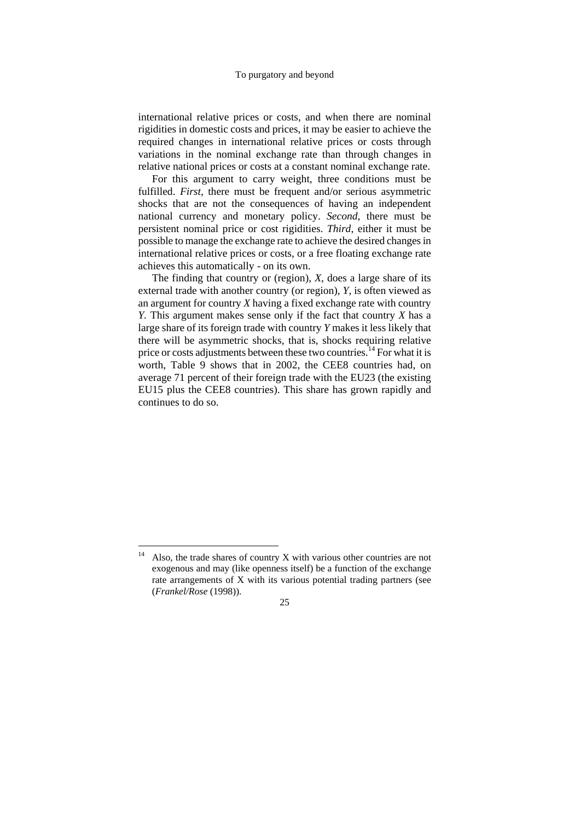international relative prices or costs, and when there are nominal rigidities in domestic costs and prices, it may be easier to achieve the required changes in international relative prices or costs through variations in the nominal exchange rate than through changes in relative national prices or costs at a constant nominal exchange rate.

For this argument to carry weight, three conditions must be fulfilled. *First*, there must be frequent and/or serious asymmetric shocks that are not the consequences of having an independent national currency and monetary policy. *Second*, there must be persistent nominal price or cost rigidities. *Third*, either it must be possible to manage the exchange rate to achieve the desired changes in international relative prices or costs, or a free floating exchange rate achieves this automatically - on its own.

The finding that country or (region), *X*, does a large share of its external trade with another country (or region), *Y*, is often viewed as an argument for country *X* having a fixed exchange rate with country *Y.* This argument makes sense only if the fact that country *X* has a large share of its foreign trade with country *Y* makes it less likely that there will be asymmetric shocks, that is, shocks requiring relative price or costs adjustments between these two countries.<sup>14</sup> For what it is worth, Table 9 shows that in 2002, the CEE8 countries had, on average 71 percent of their foreign trade with the EU23 (the existing EU15 plus the CEE8 countries). This share has grown rapidly and continues to do so.

<span id="page-24-0"></span> $14$ Also, the trade shares of country  $X$  with various other countries are not exogenous and may (like openness itself) be a function of the exchange rate arrangements of X with its various potential trading partners (see (*Frankel/Rose* (1998)).

<sup>25</sup>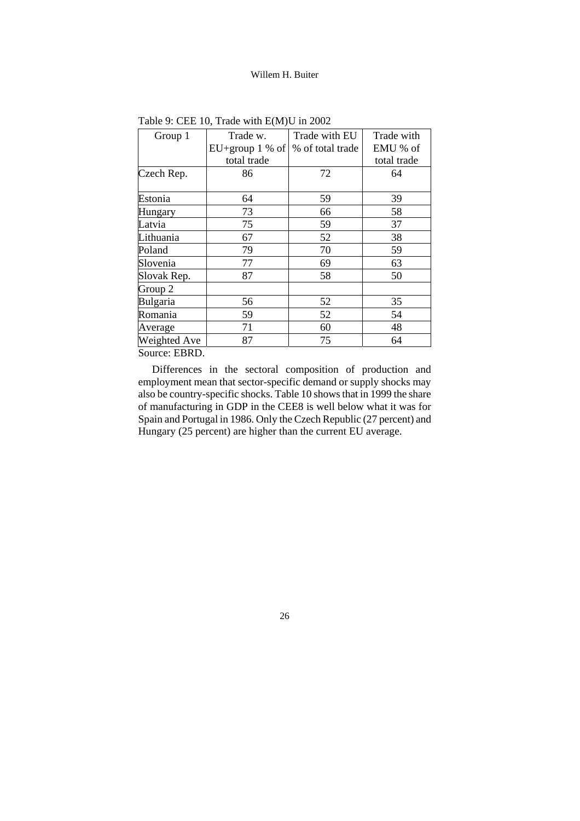| Group 1      | Trade w.          | Trade with EU    | Trade with  |  |
|--------------|-------------------|------------------|-------------|--|
|              | EU+group $1\%$ of | % of total trade | EMU % of    |  |
|              | total trade       |                  | total trade |  |
| Czech Rep.   | 86                | 72               | 64          |  |
| Estonia      | 64                | 59               | 39          |  |
| Hungary      | 73                | 66               | 58          |  |
| Latvia       | 75                | 59               | 37          |  |
| Lithuania    | 67                | 52               | 38          |  |
| Poland       | 79                | 70               | 59          |  |
| Slovenia     | 77                | 69               | 63          |  |
| Slovak Rep.  | 87                | 58               | 50          |  |
| Group 2      |                   |                  |             |  |
| Bulgaria     | 56                | 52               | 35          |  |
| Romania      | 59                | 52               | 54          |  |
| Average      | 71                | 60               | 48          |  |
| Weighted Ave | 87                | 75               | 64          |  |

Table 9: CEE 10, Trade with E(M)U in 2002

Source: EBRD.

Differences in the sectoral composition of production and employment mean that sector-specific demand or supply shocks may also be country-specific shocks. Table 10 shows that in 1999 the share of manufacturing in GDP in the CEE8 is well below what it was for Spain and Portugal in 1986. Only the Czech Republic (27 percent) and Hungary (25 percent) are higher than the current EU average.

26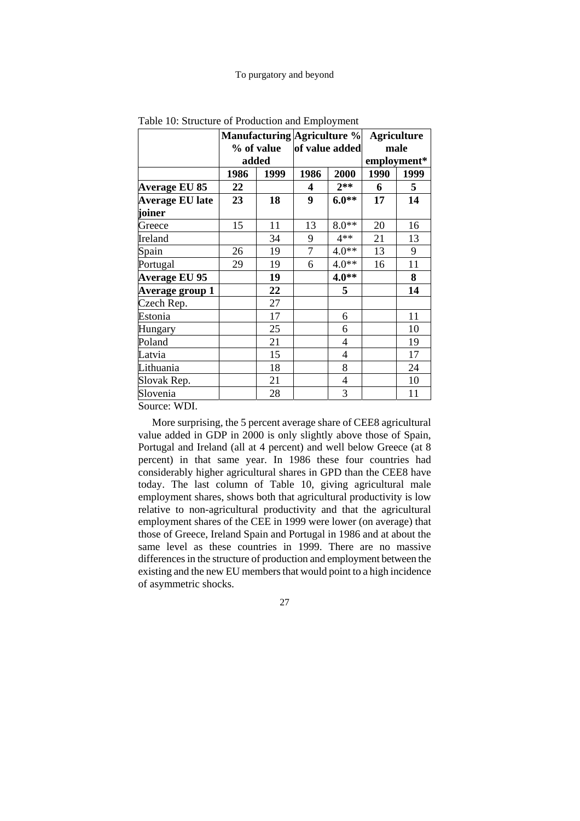|                        | Manufacturing Agriculture %<br>% of value<br>added |      | of value added   |                | <b>Agriculture</b><br>male<br>employment* |      |
|------------------------|----------------------------------------------------|------|------------------|----------------|-------------------------------------------|------|
|                        |                                                    |      |                  |                |                                           |      |
|                        |                                                    |      |                  |                |                                           |      |
|                        | 1986                                               | 1999 | 1986             | 2000           | 1990                                      | 1999 |
| <b>Average EU 85</b>   | 22                                                 |      | 4                | $2**$          | 6                                         | 5    |
| <b>Average EU late</b> | 23                                                 | 18   | 9                | $6.0**$        | 17                                        | 14   |
| joiner                 |                                                    |      |                  |                |                                           |      |
| Greece                 | 15                                                 | 11   | 13               | $8.0**$        | 20                                        | 16   |
| Ireland                |                                                    | 34   | 9                | $4**$          | 21                                        | 13   |
| Spain                  | 26                                                 | 19   | $\boldsymbol{7}$ | $4.0**$        | 13                                        | 9    |
| Portugal               | 29                                                 | 19   | 6                | $4.0**$        | 16                                        | 11   |
| <b>Average EU 95</b>   |                                                    | 19   |                  | $4.0**$        |                                           | 8    |
| Average group 1        |                                                    | 22   |                  | 5              |                                           | 14   |
| Czech Rep.             |                                                    | 27   |                  |                |                                           |      |
| Estonia                |                                                    | 17   |                  | 6              |                                           | 11   |
| Hungary                |                                                    | 25   |                  | 6              |                                           | 10   |
| Poland                 |                                                    | 21   |                  | 4              |                                           | 19   |
| Latvia                 |                                                    | 15   |                  | $\overline{4}$ |                                           | 17   |
| Lithuania              |                                                    | 18   |                  | 8              |                                           | 24   |
| Slovak Rep.            |                                                    | 21   |                  | $\overline{4}$ |                                           | 10   |
| Slovenia               |                                                    | 28   |                  | 3              |                                           | 11   |
| <b>TYTET</b>           |                                                    |      |                  |                |                                           |      |

Table 10: Structure of Production and Employment

Source: WDI.

More surprising, the 5 percent average share of CEE8 agricultural value added in GDP in 2000 is only slightly above those of Spain, Portugal and Ireland (all at 4 percent) and well below Greece (at 8 percent) in that same year. In 1986 these four countries had considerably higher agricultural shares in GPD than the CEE8 have today. The last column of Table 10, giving agricultural male employment shares, shows both that agricultural productivity is low relative to non-agricultural productivity and that the agricultural employment shares of the CEE in 1999 were lower (on average) that those of Greece, Ireland Spain and Portugal in 1986 and at about the same level as these countries in 1999. There are no massive differences in the structure of production and employment between the existing and the new EU members that would point to a high incidence of asymmetric shocks.

27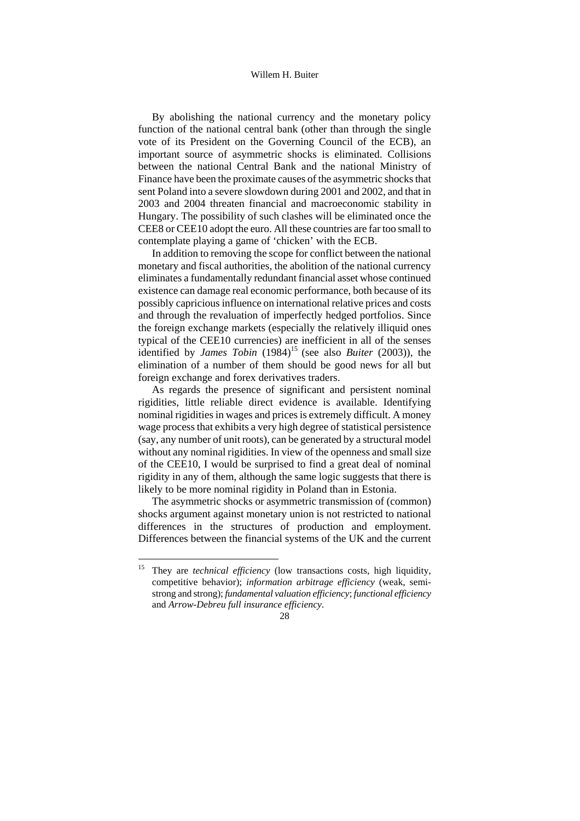#### Willem H. Buiter

By abolishing the national currency and the monetary policy function of the national central bank (other than through the single vote of its President on the Governing Council of the ECB), an important source of asymmetric shocks is eliminated. Collisions between the national Central Bank and the national Ministry of Finance have been the proximate causes of the asymmetric shocks that sent Poland into a severe slowdown during 2001 and 2002, and that in 2003 and 2004 threaten financial and macroeconomic stability in Hungary. The possibility of such clashes will be eliminated once the CEE8 or CEE10 adopt the euro. All these countries are far too small to contemplate playing a game of 'chicken' with the ECB.

In addition to removing the scope for conflict between the national monetary and fiscal authorities, the abolition of the national currency eliminates a fundamentally redundant financial asset whose continued existence can damage real economic performance, both because of its possibly capricious influence on international relative prices and costs and through the revaluation of imperfectly hedged portfolios. Since the foreign exchange markets (especially the relatively illiquid ones typical of the CEE10 currencies) are inefficient in all of the senses identified by *James Tobin* (1984)<sup>[15](#page-27-0)</sup> (see also *Buiter* (2003)), the elimination of a number of them should be good news for all but foreign exchange and forex derivatives traders.

As regards the presence of significant and persistent nominal rigidities, little reliable direct evidence is available. Identifying nominal rigidities in wages and prices is extremely difficult. A money wage process that exhibits a very high degree of statistical persistence (say, any number of unit roots), can be generated by a structural model without any nominal rigidities. In view of the openness and small size of the CEE10, I would be surprised to find a great deal of nominal rigidity in any of them, although the same logic suggests that there is likely to be more nominal rigidity in Poland than in Estonia.

The asymmetric shocks or asymmetric transmission of (common) shocks argument against monetary union is not restricted to national differences in the structures of production and employment. Differences between the financial systems of the UK and the current

<span id="page-27-0"></span> $15\,$ 15 They are *technical efficiency* (low transactions costs, high liquidity, competitive behavior); *information arbitrage efficiency* (weak, semistrong and strong); *fundamental valuation efficiency*; *functional efficiency* and *Arrow-Debreu full insurance efficiency*.

<sup>28</sup>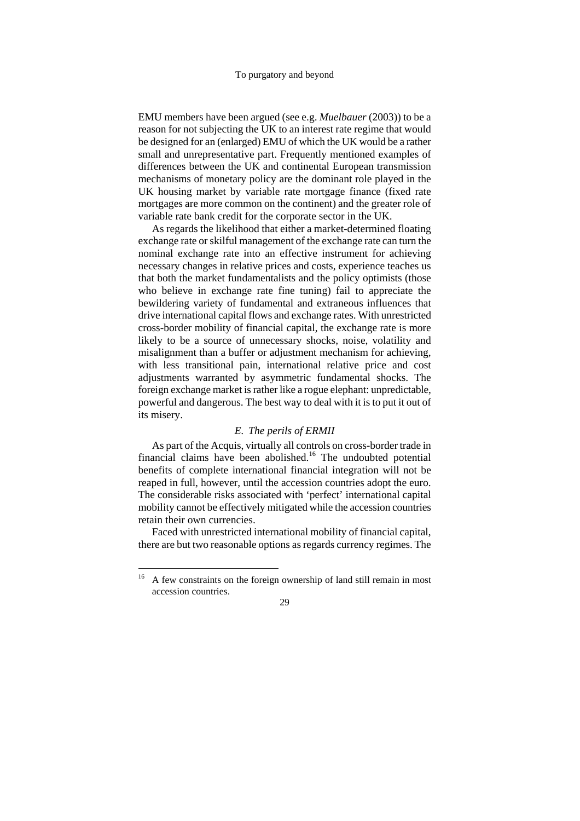EMU members have been argued (see e.g. *Muelbauer* (2003)) to be a reason for not subjecting the UK to an interest rate regime that would be designed for an (enlarged) EMU of which the UK would be a rather small and unrepresentative part. Frequently mentioned examples of differences between the UK and continental European transmission mechanisms of monetary policy are the dominant role played in the UK housing market by variable rate mortgage finance (fixed rate mortgages are more common on the continent) and the greater role of variable rate bank credit for the corporate sector in the UK.

As regards the likelihood that either a market-determined floating exchange rate or skilful management of the exchange rate can turn the nominal exchange rate into an effective instrument for achieving necessary changes in relative prices and costs, experience teaches us that both the market fundamentalists and the policy optimists (those who believe in exchange rate fine tuning) fail to appreciate the bewildering variety of fundamental and extraneous influences that drive international capital flows and exchange rates. With unrestricted cross-border mobility of financial capital, the exchange rate is more likely to be a source of unnecessary shocks, noise, volatility and misalignment than a buffer or adjustment mechanism for achieving, with less transitional pain, international relative price and cost adjustments warranted by asymmetric fundamental shocks. The foreign exchange market is rather like a rogue elephant: unpredictable, powerful and dangerous. The best way to deal with it is to put it out of its misery.

## *E. The perils of ERMII*

As part of the Acquis, virtually all controls on cross-border trade in financial claims have been abolished.[16](#page-28-0) The undoubted potential benefits of complete international financial integration will not be reaped in full, however, until the accession countries adopt the euro. The considerable risks associated with 'perfect' international capital mobility cannot be effectively mitigated while the accession countries retain their own currencies.

Faced with unrestricted international mobility of financial capital, there are but two reasonable options as regards currency regimes. The

l,

<span id="page-28-0"></span><sup>&</sup>lt;sup>16</sup> A few constraints on the foreign ownership of land still remain in most accession countries.

<sup>29</sup>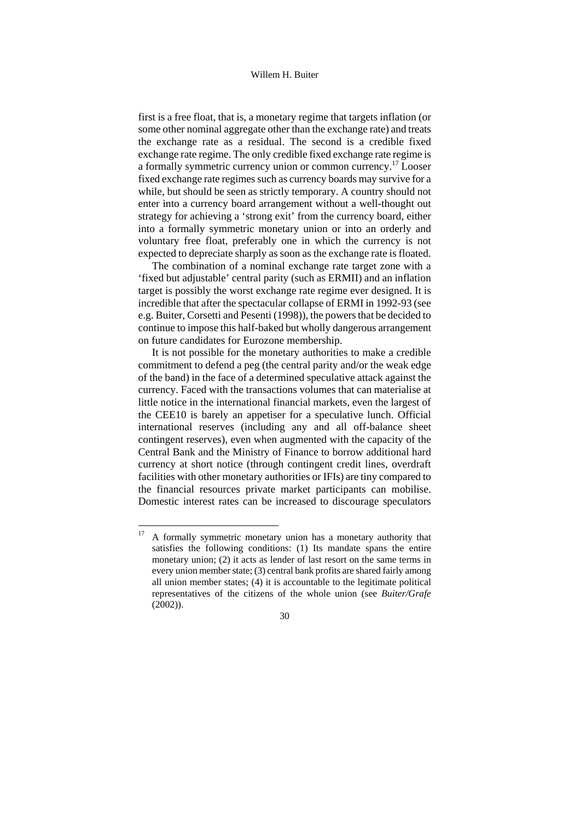first is a free float, that is, a monetary regime that targets inflation (or some other nominal aggregate other than the exchange rate) and treats the exchange rate as a residual. The second is a credible fixed exchange rate regime. The only credible fixed exchange rate regime is a formally symmetric currency union or common currency[.17](#page-29-0) Looser fixed exchange rate regimes such as currency boards may survive for a while, but should be seen as strictly temporary. A country should not enter into a currency board arrangement without a well-thought out strategy for achieving a 'strong exit' from the currency board, either into a formally symmetric monetary union or into an orderly and voluntary free float, preferably one in which the currency is not expected to depreciate sharply as soon as the exchange rate is floated.

The combination of a nominal exchange rate target zone with a 'fixed but adjustable' central parity (such as ERMII) and an inflation target is possibly the worst exchange rate regime ever designed. It is incredible that after the spectacular collapse of ERMI in 1992-93 (see e.g. Buiter, Corsetti and Pesenti (1998)), the powers that be decided to continue to impose this half-baked but wholly dangerous arrangement on future candidates for Eurozone membership.

It is not possible for the monetary authorities to make a credible commitment to defend a peg (the central parity and/or the weak edge of the band) in the face of a determined speculative attack against the currency. Faced with the transactions volumes that can materialise at little notice in the international financial markets, even the largest of the CEE10 is barely an appetiser for a speculative lunch. Official international reserves (including any and all off-balance sheet contingent reserves), even when augmented with the capacity of the Central Bank and the Ministry of Finance to borrow additional hard currency at short notice (through contingent credit lines, overdraft facilities with other monetary authorities or IFIs) are tiny compared to the financial resources private market participants can mobilise. Domestic interest rates can be increased to discourage speculators

l,

<span id="page-29-0"></span> $17$  A formally symmetric monetary union has a monetary authority that satisfies the following conditions: (1) Its mandate spans the entire monetary union; (2) it acts as lender of last resort on the same terms in every union member state; (3) central bank profits are shared fairly among all union member states; (4) it is accountable to the legitimate political representatives of the citizens of the whole union (see *Buiter/Grafe* (2002)).

<sup>30</sup>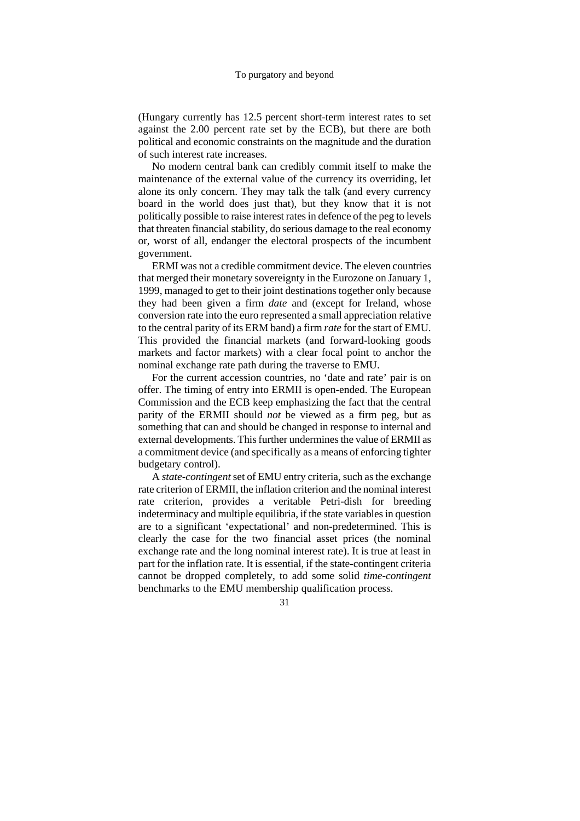(Hungary currently has 12.5 percent short-term interest rates to set against the 2.00 percent rate set by the ECB), but there are both political and economic constraints on the magnitude and the duration of such interest rate increases.

No modern central bank can credibly commit itself to make the maintenance of the external value of the currency its overriding, let alone its only concern. They may talk the talk (and every currency board in the world does just that), but they know that it is not politically possible to raise interest rates in defence of the peg to levels that threaten financial stability, do serious damage to the real economy or, worst of all, endanger the electoral prospects of the incumbent government.

ERMI was not a credible commitment device. The eleven countries that merged their monetary sovereignty in the Eurozone on January 1, 1999, managed to get to their joint destinations together only because they had been given a firm *date* and (except for Ireland, whose conversion rate into the euro represented a small appreciation relative to the central parity of its ERM band) a firm *rate* for the start of EMU. This provided the financial markets (and forward-looking goods markets and factor markets) with a clear focal point to anchor the nominal exchange rate path during the traverse to EMU.

For the current accession countries, no 'date and rate' pair is on offer. The timing of entry into ERMII is open-ended. The European Commission and the ECB keep emphasizing the fact that the central parity of the ERMII should *not* be viewed as a firm peg, but as something that can and should be changed in response to internal and external developments. This further undermines the value of ERMII as a commitment device (and specifically as a means of enforcing tighter budgetary control).

A *state-contingent* set of EMU entry criteria, such as the exchange rate criterion of ERMII, the inflation criterion and the nominal interest rate criterion, provides a veritable Petri-dish for breeding indeterminacy and multiple equilibria, if the state variables in question are to a significant 'expectational' and non-predetermined. This is clearly the case for the two financial asset prices (the nominal exchange rate and the long nominal interest rate). It is true at least in part for the inflation rate. It is essential, if the state-contingent criteria cannot be dropped completely, to add some solid *time-contingent* benchmarks to the EMU membership qualification process.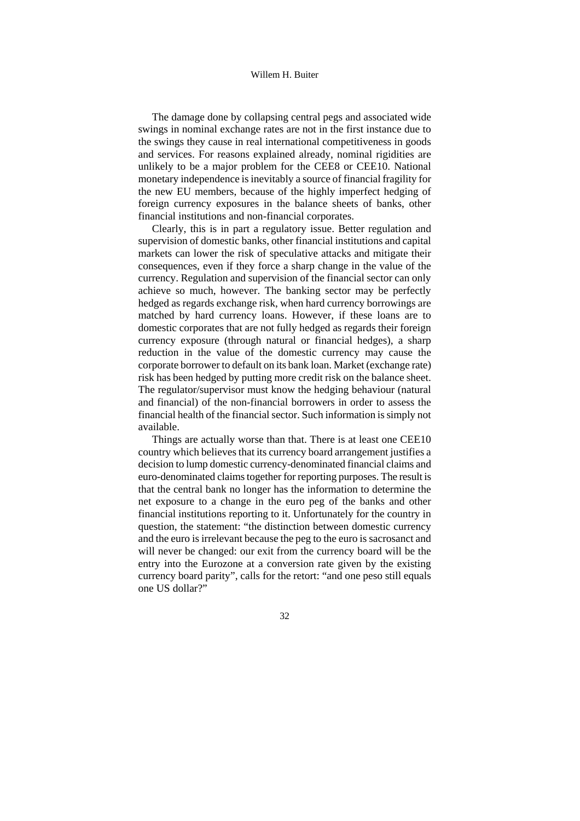The damage done by collapsing central pegs and associated wide swings in nominal exchange rates are not in the first instance due to the swings they cause in real international competitiveness in goods and services. For reasons explained already, nominal rigidities are unlikely to be a major problem for the CEE8 or CEE10. National monetary independence is inevitably a source of financial fragility for the new EU members, because of the highly imperfect hedging of foreign currency exposures in the balance sheets of banks, other financial institutions and non-financial corporates.

Clearly, this is in part a regulatory issue. Better regulation and supervision of domestic banks, other financial institutions and capital markets can lower the risk of speculative attacks and mitigate their consequences, even if they force a sharp change in the value of the currency. Regulation and supervision of the financial sector can only achieve so much, however. The banking sector may be perfectly hedged as regards exchange risk, when hard currency borrowings are matched by hard currency loans. However, if these loans are to domestic corporates that are not fully hedged as regards their foreign currency exposure (through natural or financial hedges), a sharp reduction in the value of the domestic currency may cause the corporate borrower to default on its bank loan. Market (exchange rate) risk has been hedged by putting more credit risk on the balance sheet. The regulator/supervisor must know the hedging behaviour (natural and financial) of the non-financial borrowers in order to assess the financial health of the financial sector. Such information is simply not available.

Things are actually worse than that. There is at least one CEE10 country which believes that its currency board arrangement justifies a decision to lump domestic currency-denominated financial claims and euro-denominated claims together for reporting purposes. The result is that the central bank no longer has the information to determine the net exposure to a change in the euro peg of the banks and other financial institutions reporting to it. Unfortunately for the country in question, the statement: "the distinction between domestic currency and the euro is irrelevant because the peg to the euro is sacrosanct and will never be changed: our exit from the currency board will be the entry into the Eurozone at a conversion rate given by the existing currency board parity", calls for the retort: "and one peso still equals one US dollar?"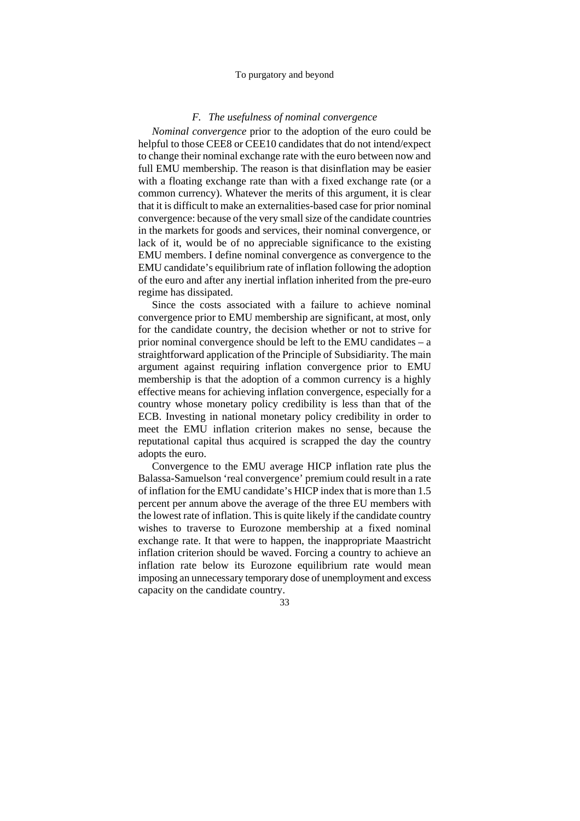#### To purgatory and beyond

#### *F. The usefulness of nominal convergence*

*Nominal convergence* prior to the adoption of the euro could be helpful to those CEE8 or CEE10 candidates that do not intend/expect to change their nominal exchange rate with the euro between now and full EMU membership. The reason is that disinflation may be easier with a floating exchange rate than with a fixed exchange rate (or a common currency). Whatever the merits of this argument, it is clear that it is difficult to make an externalities-based case for prior nominal convergence: because of the very small size of the candidate countries in the markets for goods and services, their nominal convergence, or lack of it, would be of no appreciable significance to the existing EMU members. I define nominal convergence as convergence to the EMU candidate's equilibrium rate of inflation following the adoption of the euro and after any inertial inflation inherited from the pre-euro regime has dissipated.

Since the costs associated with a failure to achieve nominal convergence prior to EMU membership are significant, at most, only for the candidate country, the decision whether or not to strive for prior nominal convergence should be left to the EMU candidates – a straightforward application of the Principle of Subsidiarity. The main argument against requiring inflation convergence prior to EMU membership is that the adoption of a common currency is a highly effective means for achieving inflation convergence, especially for a country whose monetary policy credibility is less than that of the ECB. Investing in national monetary policy credibility in order to meet the EMU inflation criterion makes no sense, because the reputational capital thus acquired is scrapped the day the country adopts the euro.

Convergence to the EMU average HICP inflation rate plus the Balassa-Samuelson 'real convergence' premium could result in a rate of inflation for the EMU candidate's HICP index that is more than 1.5 percent per annum above the average of the three EU members with the lowest rate of inflation. This is quite likely if the candidate country wishes to traverse to Eurozone membership at a fixed nominal exchange rate. It that were to happen, the inappropriate Maastricht inflation criterion should be waved. Forcing a country to achieve an inflation rate below its Eurozone equilibrium rate would mean imposing an unnecessary temporary dose of unemployment and excess capacity on the candidate country.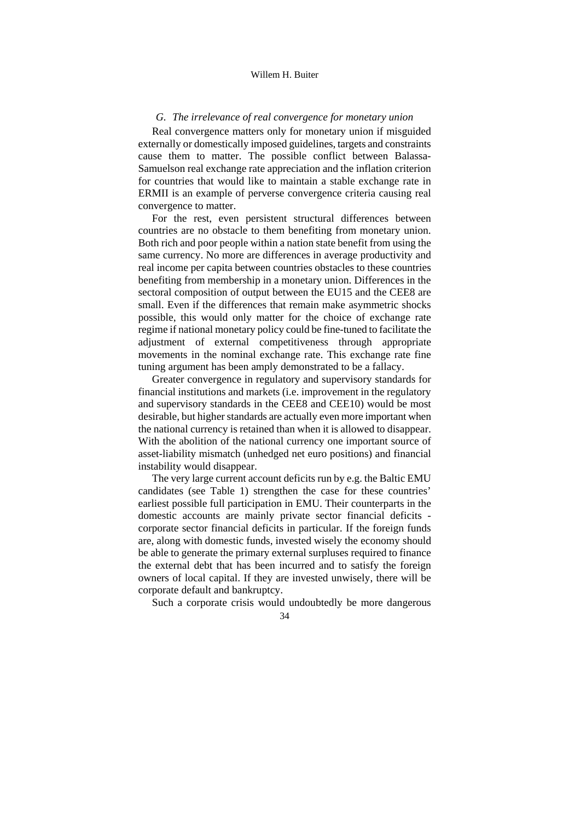#### *G. The irrelevance of real convergence for monetary union*

Real convergence matters only for monetary union if misguided externally or domestically imposed guidelines, targets and constraints cause them to matter. The possible conflict between Balassa-Samuelson real exchange rate appreciation and the inflation criterion for countries that would like to maintain a stable exchange rate in ERMII is an example of perverse convergence criteria causing real convergence to matter.

For the rest, even persistent structural differences between countries are no obstacle to them benefiting from monetary union. Both rich and poor people within a nation state benefit from using the same currency. No more are differences in average productivity and real income per capita between countries obstacles to these countries benefiting from membership in a monetary union. Differences in the sectoral composition of output between the EU15 and the CEE8 are small. Even if the differences that remain make asymmetric shocks possible, this would only matter for the choice of exchange rate regime if national monetary policy could be fine-tuned to facilitate the adjustment of external competitiveness through appropriate movements in the nominal exchange rate. This exchange rate fine tuning argument has been amply demonstrated to be a fallacy.

Greater convergence in regulatory and supervisory standards for financial institutions and markets (i.e. improvement in the regulatory and supervisory standards in the CEE8 and CEE10) would be most desirable, but higher standards are actually even more important when the national currency is retained than when it is allowed to disappear. With the abolition of the national currency one important source of asset-liability mismatch (unhedged net euro positions) and financial instability would disappear.

The very large current account deficits run by e.g. the Baltic EMU candidates (see Table 1) strengthen the case for these countries' earliest possible full participation in EMU. Their counterparts in the domestic accounts are mainly private sector financial deficits corporate sector financial deficits in particular. If the foreign funds are, along with domestic funds, invested wisely the economy should be able to generate the primary external surpluses required to finance the external debt that has been incurred and to satisfy the foreign owners of local capital. If they are invested unwisely, there will be corporate default and bankruptcy.

Such a corporate crisis would undoubtedly be more dangerous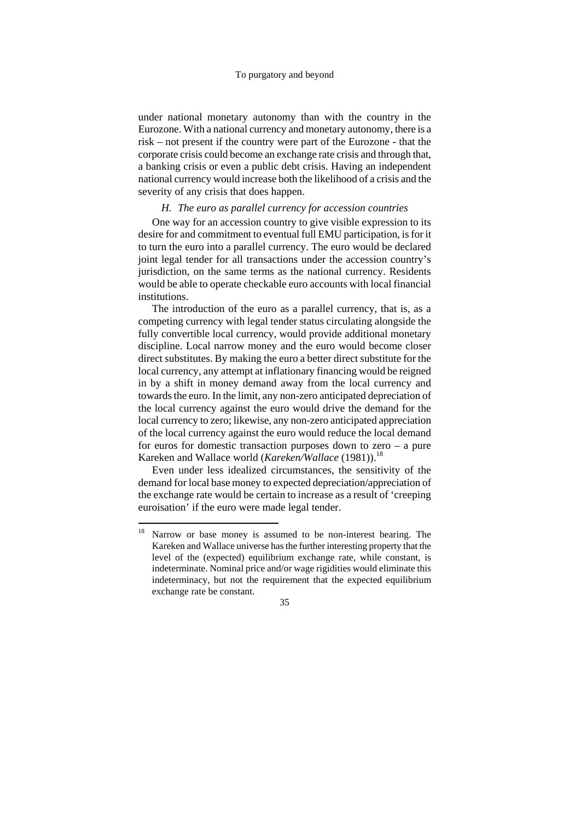under national monetary autonomy than with the country in the Eurozone. With a national currency and monetary autonomy, there is a risk – not present if the country were part of the Eurozone - that the corporate crisis could become an exchange rate crisis and through that, a banking crisis or even a public debt crisis. Having an independent national currency would increase both the likelihood of a crisis and the severity of any crisis that does happen.

# *H. The euro as parallel currency for accession countries*

One way for an accession country to give visible expression to its desire for and commitment to eventual full EMU participation, is for it to turn the euro into a parallel currency. The euro would be declared joint legal tender for all transactions under the accession country's jurisdiction, on the same terms as the national currency. Residents would be able to operate checkable euro accounts with local financial institutions.

The introduction of the euro as a parallel currency, that is, as a competing currency with legal tender status circulating alongside the fully convertible local currency, would provide additional monetary discipline. Local narrow money and the euro would become closer direct substitutes. By making the euro a better direct substitute for the local currency, any attempt at inflationary financing would be reigned in by a shift in money demand away from the local currency and towards the euro. In the limit, any non-zero anticipated depreciation of the local currency against the euro would drive the demand for the local currency to zero; likewise, any non-zero anticipated appreciation of the local currency against the euro would reduce the local demand for euros for domestic transaction purposes down to zero – a pure Kareken and Wallace world (*Kareken/Wallace* (1981)).<sup>18</sup>

Even under less idealized circumstances, the sensitivity of the demand for local base money to expected depreciation/appreciation of the exchange rate would be certain to increase as a result of 'creeping euroisation' if the euro were made legal tender.

<span id="page-34-0"></span><sup>18</sup> Narrow or base money is assumed to be non-interest bearing. The Kareken and Wallace universe has the further interesting property that the level of the (expected) equilibrium exchange rate, while constant, is indeterminate. Nominal price and/or wage rigidities would eliminate this indeterminacy, but not the requirement that the expected equilibrium exchange rate be constant.

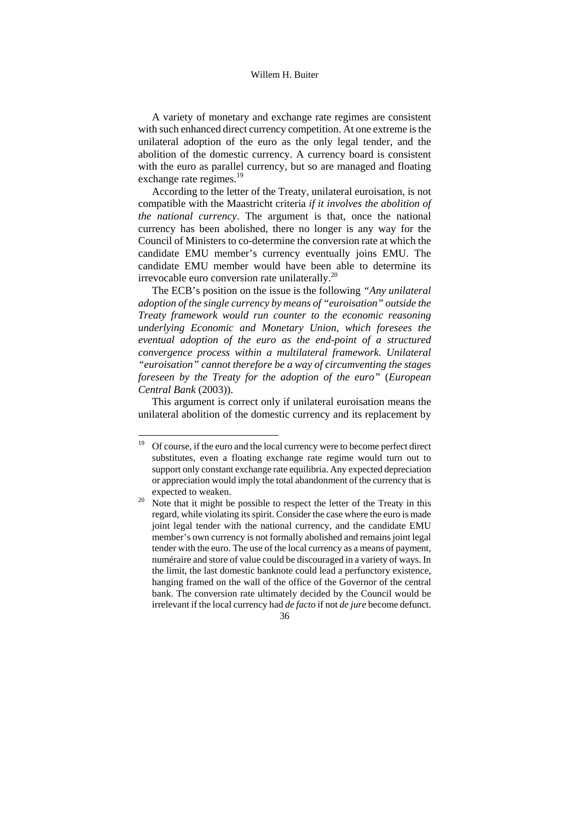A variety of monetary and exchange rate regimes are consistent with such enhanced direct currency competition. At one extreme is the unilateral adoption of the euro as the only legal tender, and the abolition of the domestic currency. A currency board is consistent with the euro as parallel currency, but so are managed and floating exchange rate regimes.<sup>[19](#page-35-0)</sup>

According to the letter of the Treaty, unilateral euroisation, is not compatible with the Maastricht criteria *if it involves the abolition of the national currency*. The argument is that, once the national currency has been abolished, there no longer is any way for the Council of Ministers to co-determine the conversion rate at which the candidate EMU member's currency eventually joins EMU. The candidate EMU member would have been able to determine its irrevocable euro conversion rate unilaterally.[20](#page-35-1) 

The ECB's position on the issue is the following *"Any unilateral adoption of the single currency by means of "euroisation" outside the Treaty framework would run counter to the economic reasoning underlying Economic and Monetary Union, which foresees the eventual adoption of the euro as the end-point of a structured convergence process within a multilateral framework. Unilateral "euroisation" cannot therefore be a way of circumventing the stages foreseen by the Treaty for the adoption of the euro"* (*European Central Bank* (2003)).

This argument is correct only if unilateral euroisation means the unilateral abolition of the domestic currency and its replacement by

<span id="page-35-0"></span><sup>19</sup> <sup>19</sup> Of course, if the euro and the local currency were to become perfect direct substitutes, even a floating exchange rate regime would turn out to support only constant exchange rate equilibria. Any expected depreciation or appreciation would imply the total abandonment of the currency that is

<span id="page-35-1"></span>expected to weaken.<br><sup>20</sup> Note that it might be possible to respect the letter of the Treaty in this regard, while violating its spirit. Consider the case where the euro is made joint legal tender with the national currency, and the candidate EMU member's own currency is not formally abolished and remains joint legal tender with the euro. The use of the local currency as a means of payment, numéraire and store of value could be discouraged in a variety of ways. In the limit, the last domestic banknote could lead a perfunctory existence, hanging framed on the wall of the office of the Governor of the central bank. The conversion rate ultimately decided by the Council would be irrelevant if the local currency had *de facto* if not *de jure* become defunct.

<sup>36</sup>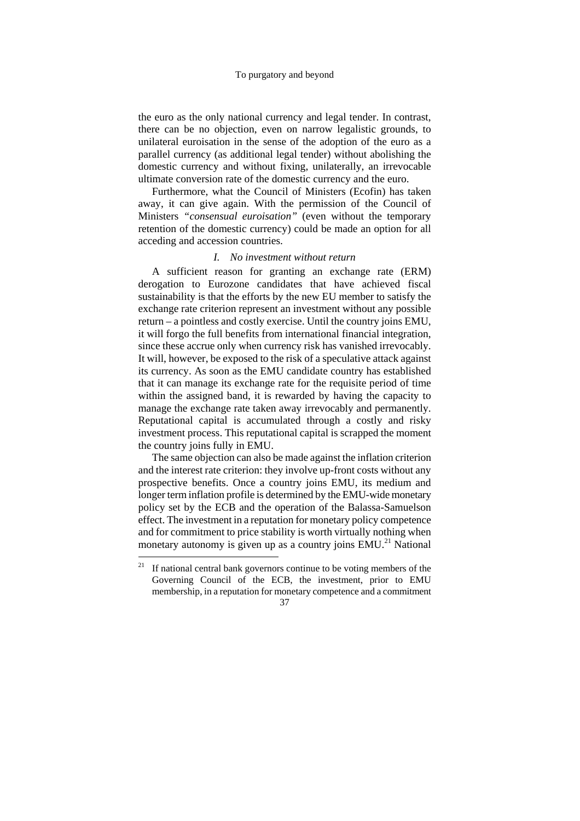the euro as the only national currency and legal tender. In contrast, there can be no objection, even on narrow legalistic grounds, to unilateral euroisation in the sense of the adoption of the euro as a parallel currency (as additional legal tender) without abolishing the domestic currency and without fixing, unilaterally, an irrevocable ultimate conversion rate of the domestic currency and the euro.

Furthermore, what the Council of Ministers (Ecofin) has taken away, it can give again. With the permission of the Council of Ministers *"consensual euroisation"* (even without the temporary retention of the domestic currency) could be made an option for all acceding and accession countries.

# *I. No investment without return*

A sufficient reason for granting an exchange rate (ERM) derogation to Eurozone candidates that have achieved fiscal sustainability is that the efforts by the new EU member to satisfy the exchange rate criterion represent an investment without any possible return – a pointless and costly exercise. Until the country joins EMU, it will forgo the full benefits from international financial integration, since these accrue only when currency risk has vanished irrevocably. It will, however, be exposed to the risk of a speculative attack against its currency. As soon as the EMU candidate country has established that it can manage its exchange rate for the requisite period of time within the assigned band, it is rewarded by having the capacity to manage the exchange rate taken away irrevocably and permanently. Reputational capital is accumulated through a costly and risky investment process. This reputational capital is scrapped the moment the country joins fully in EMU.

The same objection can also be made against the inflation criterion and the interest rate criterion: they involve up-front costs without any prospective benefits. Once a country joins EMU, its medium and longer term inflation profile is determined by the EMU-wide monetary policy set by the ECB and the operation of the Balassa-Samuelson effect. The investment in a reputation for monetary policy competence and for commitment to price stability is worth virtually nothing when monetary autonomy is given up as a country joins  $EMU<sup>21</sup>$  National

<span id="page-36-0"></span> $21\,$ 21 If national central bank governors continue to be voting members of the Governing Council of the ECB, the investment, prior to EMU membership, in a reputation for monetary competence and a commitment

<sup>37</sup>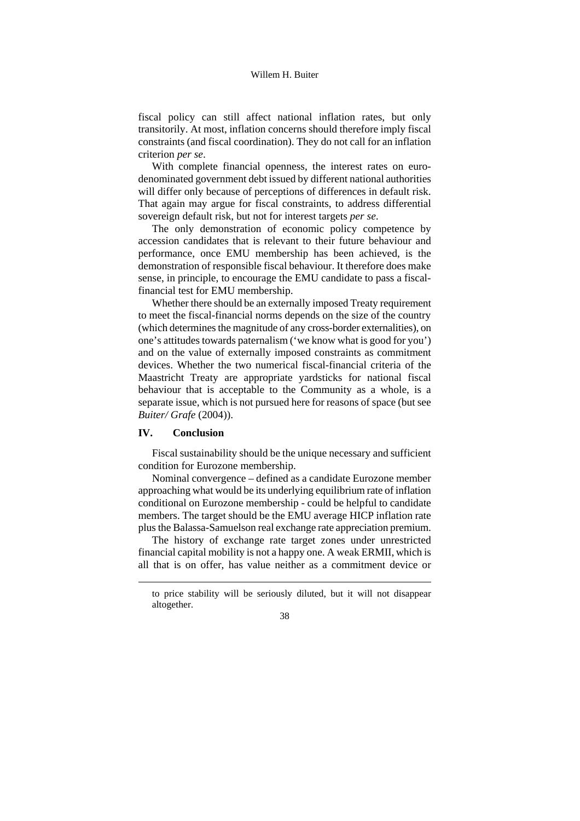fiscal policy can still affect national inflation rates, but only transitorily. At most, inflation concerns should therefore imply fiscal constraints (and fiscal coordination). They do not call for an inflation criterion *per se*.

With complete financial openness, the interest rates on eurodenominated government debt issued by different national authorities will differ only because of perceptions of differences in default risk. That again may argue for fiscal constraints, to address differential sovereign default risk, but not for interest targets *per se*.

The only demonstration of economic policy competence by accession candidates that is relevant to their future behaviour and performance, once EMU membership has been achieved, is the demonstration of responsible fiscal behaviour. It therefore does make sense, in principle, to encourage the EMU candidate to pass a fiscalfinancial test for EMU membership.

Whether there should be an externally imposed Treaty requirement to meet the fiscal-financial norms depends on the size of the country (which determines the magnitude of any cross-border externalities), on one's attitudes towards paternalism ('we know what is good for you') and on the value of externally imposed constraints as commitment devices. Whether the two numerical fiscal-financial criteria of the Maastricht Treaty are appropriate yardsticks for national fiscal behaviour that is acceptable to the Community as a whole, is a separate issue, which is not pursued here for reasons of space (but see *Buiter/ Grafe* (2004)).

# **IV. Conclusion**

l,

Fiscal sustainability should be the unique necessary and sufficient condition for Eurozone membership.

Nominal convergence – defined as a candidate Eurozone member approaching what would be its underlying equilibrium rate of inflation conditional on Eurozone membership - could be helpful to candidate members. The target should be the EMU average HICP inflation rate plus the Balassa-Samuelson real exchange rate appreciation premium.

The history of exchange rate target zones under unrestricted financial capital mobility is not a happy one. A weak ERMII, which is all that is on offer, has value neither as a commitment device or

to price stability will be seriously diluted, but it will not disappear altogether.

<sup>38</sup>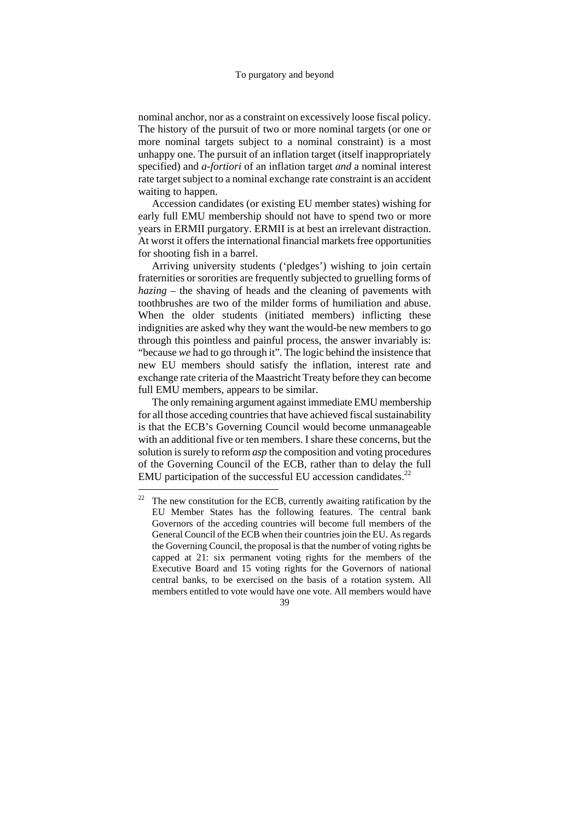nominal anchor, nor as a constraint on excessively loose fiscal policy. The history of the pursuit of two or more nominal targets (or one or more nominal targets subject to a nominal constraint) is a most unhappy one. The pursuit of an inflation target (itself inappropriately specified) and *a-fortiori* of an inflation target *and* a nominal interest rate target subject to a nominal exchange rate constraint is an accident waiting to happen.

Accession candidates (or existing EU member states) wishing for early full EMU membership should not have to spend two or more years in ERMII purgatory. ERMII is at best an irrelevant distraction. At worst it offers the international financial markets free opportunities for shooting fish in a barrel.

Arriving university students ('pledges') wishing to join certain fraternities or sororities are frequently subjected to gruelling forms of *hazing* – the shaving of heads and the cleaning of pavements with toothbrushes are two of the milder forms of humiliation and abuse. When the older students (initiated members) inflicting these indignities are asked why they want the would-be new members to go through this pointless and painful process, the answer invariably is: "because *we* had to go through it". The logic behind the insistence that new EU members should satisfy the inflation, interest rate and exchange rate criteria of the Maastricht Treaty before they can become full EMU members, appears to be similar.

The only remaining argument against immediate EMU membership for all those acceding countries that have achieved fiscal sustainability is that the ECB's Governing Council would become unmanageable with an additional five or ten members. I share these concerns, but the solution is surely to reform *asp* the composition and voting procedures of the Governing Council of the ECB, rather than to delay the full EMU participation of the successful EU accession candidates. $^{22}$  $^{22}$  $^{22}$ 

l,

<span id="page-38-0"></span>The new constitution for the ECB, currently awaiting ratification by the EU Member States has the following features. The central bank Governors of the acceding countries will become full members of the General Council of the ECB when their countries join the EU. As regards the Governing Council, the proposal is that the number of voting rights be capped at 21: six permanent voting rights for the members of the Executive Board and 15 voting rights for the Governors of national central banks, to be exercised on the basis of a rotation system. All members entitled to vote would have one vote. All members would have

<sup>39</sup>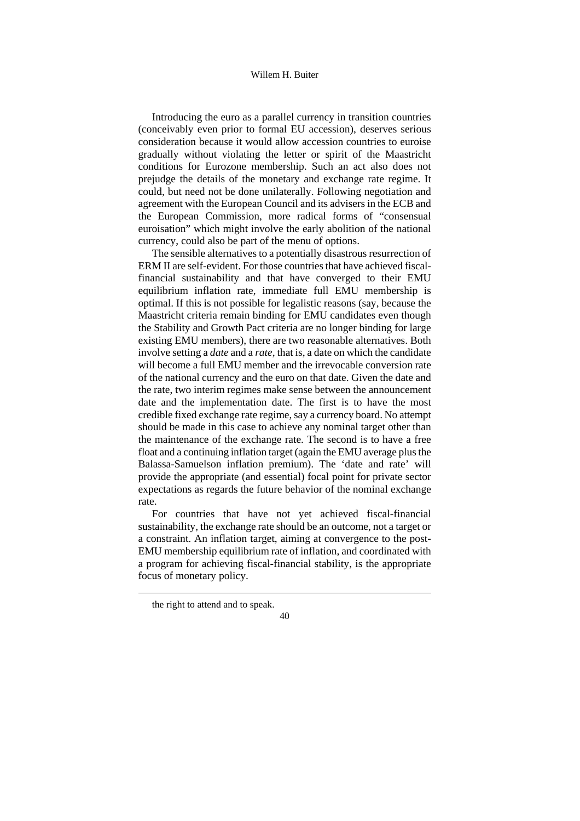Introducing the euro as a parallel currency in transition countries (conceivably even prior to formal EU accession), deserves serious consideration because it would allow accession countries to euroise gradually without violating the letter or spirit of the Maastricht conditions for Eurozone membership. Such an act also does not prejudge the details of the monetary and exchange rate regime. It could, but need not be done unilaterally. Following negotiation and agreement with the European Council and its advisers in the ECB and the European Commission, more radical forms of "consensual euroisation" which might involve the early abolition of the national currency, could also be part of the menu of options.

The sensible alternatives to a potentially disastrous resurrection of ERM II are self-evident. For those countries that have achieved fiscalfinancial sustainability and that have converged to their EMU equilibrium inflation rate, immediate full EMU membership is optimal. If this is not possible for legalistic reasons (say, because the Maastricht criteria remain binding for EMU candidates even though the Stability and Growth Pact criteria are no longer binding for large existing EMU members), there are two reasonable alternatives. Both involve setting a *date* and a *rate,* that is, a date on which the candidate will become a full EMU member and the irrevocable conversion rate of the national currency and the euro on that date. Given the date and the rate, two interim regimes make sense between the announcement date and the implementation date. The first is to have the most credible fixed exchange rate regime, say a currency board. No attempt should be made in this case to achieve any nominal target other than the maintenance of the exchange rate. The second is to have a free float and a continuing inflation target (again the EMU average plus the Balassa-Samuelson inflation premium). The 'date and rate' will provide the appropriate (and essential) focal point for private sector expectations as regards the future behavior of the nominal exchange rate.

For countries that have not yet achieved fiscal-financial sustainability, the exchange rate should be an outcome, not a target or a constraint. An inflation target, aiming at convergence to the post-EMU membership equilibrium rate of inflation, and coordinated with a program for achieving fiscal-financial stability, is the appropriate focus of monetary policy.

l,

the right to attend and to speak.

<sup>40</sup>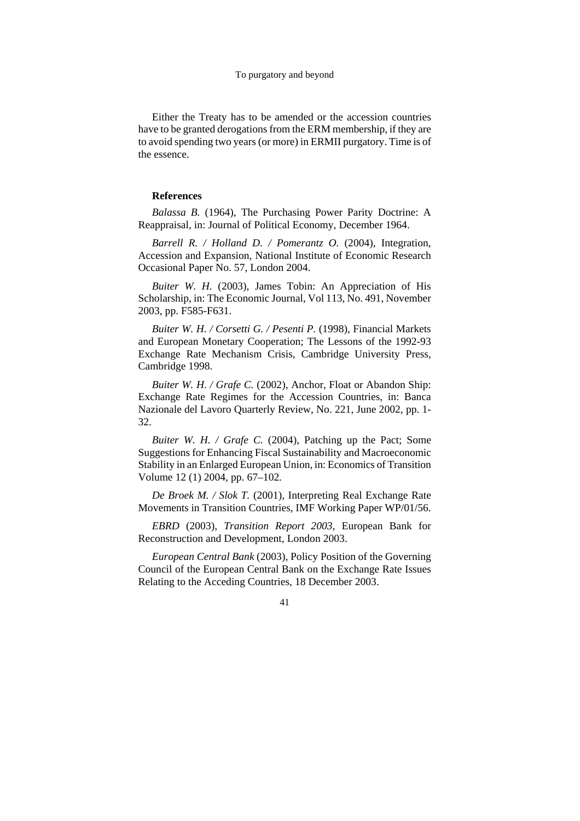Either the Treaty has to be amended or the accession countries have to be granted derogations from the ERM membership, if they are to avoid spending two years (or more) in ERMII purgatory. Time is of the essence.

### **References**

*Balassa B.* (1964), The Purchasing Power Parity Doctrine: A Reappraisal, in: Journal of Political Economy, December 1964.

*Barrell R. / Holland D. / Pomerantz O.* (2004), Integration, Accession and Expansion, National Institute of Economic Research Occasional Paper No. 57, London 2004.

*Buiter W. H.* (2003), James Tobin: An Appreciation of His Scholarship, in: The Economic Journal, Vol 113, No. 491, November 2003, pp. F585-F631.

*Buiter W. H. / Corsetti G. / Pesenti P.* (1998), Financial Markets and European Monetary Cooperation; The Lessons of the 1992-93 Exchange Rate Mechanism Crisis, Cambridge University Press, Cambridge 1998.

*Buiter W. H. / Grafe C.* (2002), [Anchor, Float or Abandon Ship:](http://www.nber.org/%7Ewbuiter/eib.pdf)  [Exchange Rate Regimes for the Accession Countries,](http://www.nber.org/%7Ewbuiter/eib.pdf) in: Banca Nazionale del Lavoro Quarterly Review, No. 221, June 2002, pp. 1- 32.

*Buiter W. H. / Grafe C.* (2004), [Patching up the Pact; Some](http://www.nber.org/~wbuiter/trans.pdf)  [Suggestions for Enhancing Fiscal Sustainability and Macroeconomic](http://www.nber.org/~wbuiter/trans.pdf)  [Stability in an Enlarged European Union](http://www.nber.org/~wbuiter/trans.pdf), in: Economics of Transition Volume 12 (1) 2004, pp. 67–102*.*

*De Broek M. / Slok T.* (2001), Interpreting Real Exchange Rate Movements in Transition Countries, IMF Working Paper WP/01/56.

*EBRD* (2003), *Transition Report 2003,* European Bank for Reconstruction and Development, London 2003.

*European Central Bank* (2003), Policy Position of the Governing Council of the European Central Bank on the Exchange Rate Issues Relating to the Acceding Countries, 18 December 2003.